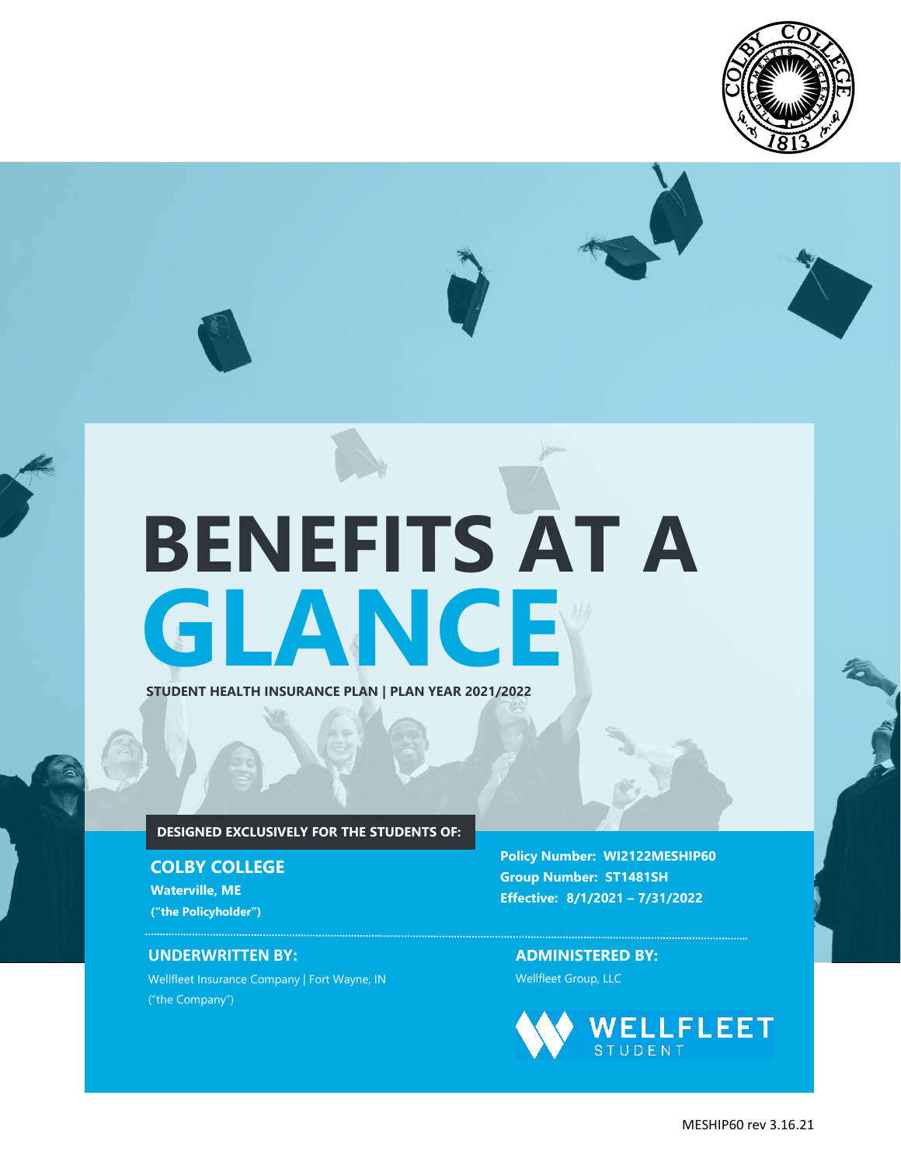



**STUDENT HEALTH INSURANCE PLAN | PLAN YEAR 2021/2022**

## **DESIGNED EXCLUSIVELY FOR THE STUDENTS OF:**

**COLBY COLLEGE**

**Waterville, ME ("the Policyholder")**

### **UNDERWRITTEN BY:**

Wellfleet Insurance Company | Fort Wayne, IN ("the Company")

**Policy Number: WI2122MESHIP60 Group Number: ST1481SH Effective: 8/1/2021 – 7/31/2022**

**ADMINISTERED BY:** Wellfleet Group, LLC

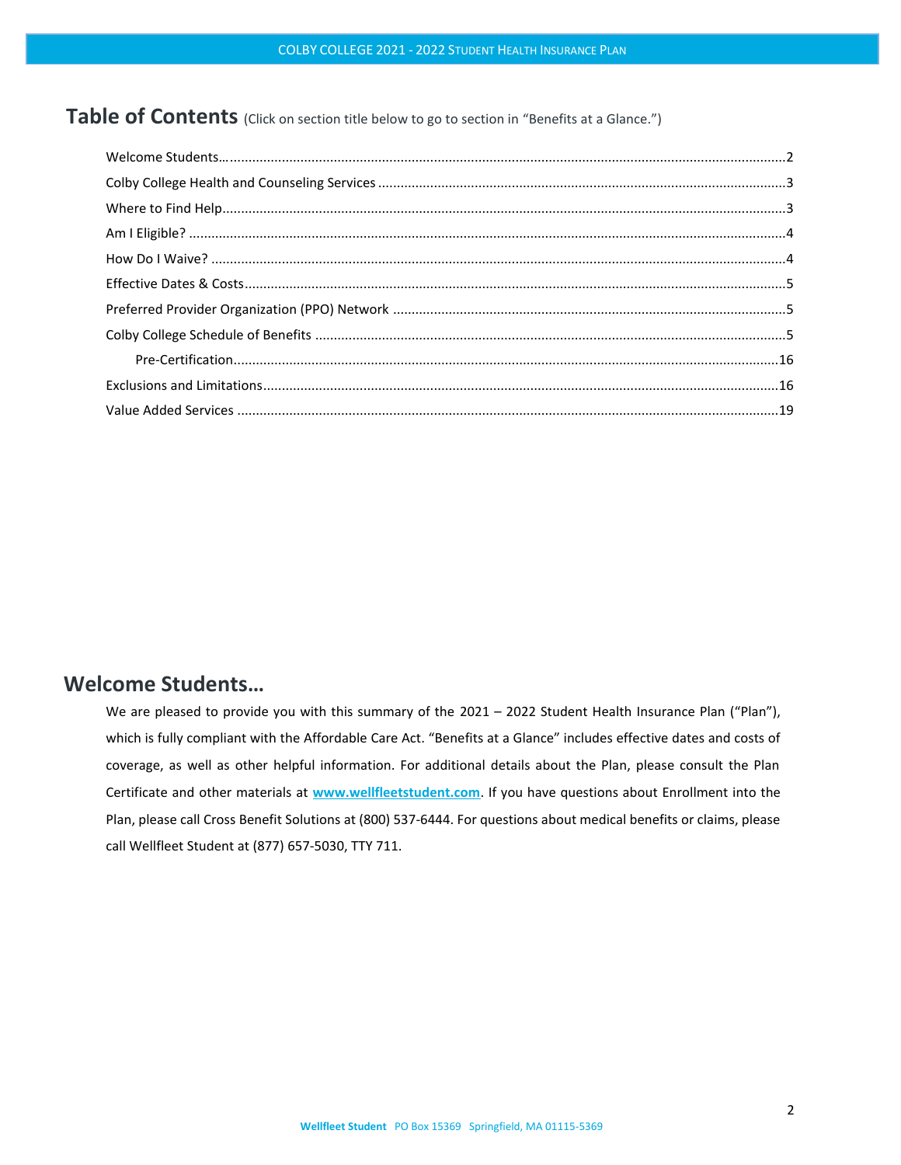## Table of Contents (Click on section title below to go to section in "Benefits at a Glance.")

## <span id="page-1-0"></span>**Welcome Students…**

We are pleased to provide you with this summary of the 2021 - 2022 Student Health Insurance Plan ("Plan"), which is fully compliant with the Affordable Care Act. "Benefits at a Glance" includes effective dates and costs of coverage, as well as other helpful information. For additional details about the Plan, please consult the Plan Certificate and other materials at **[www.wellfleetstudent.com](http://www.wellfleetstudent.com/)**. If you have questions about Enrollment into the Plan, please call Cross Benefit Solutions at (800) 537-6444. For questions about medical benefits or claims, please call Wellfleet Student at (877) 657-5030, TTY 711.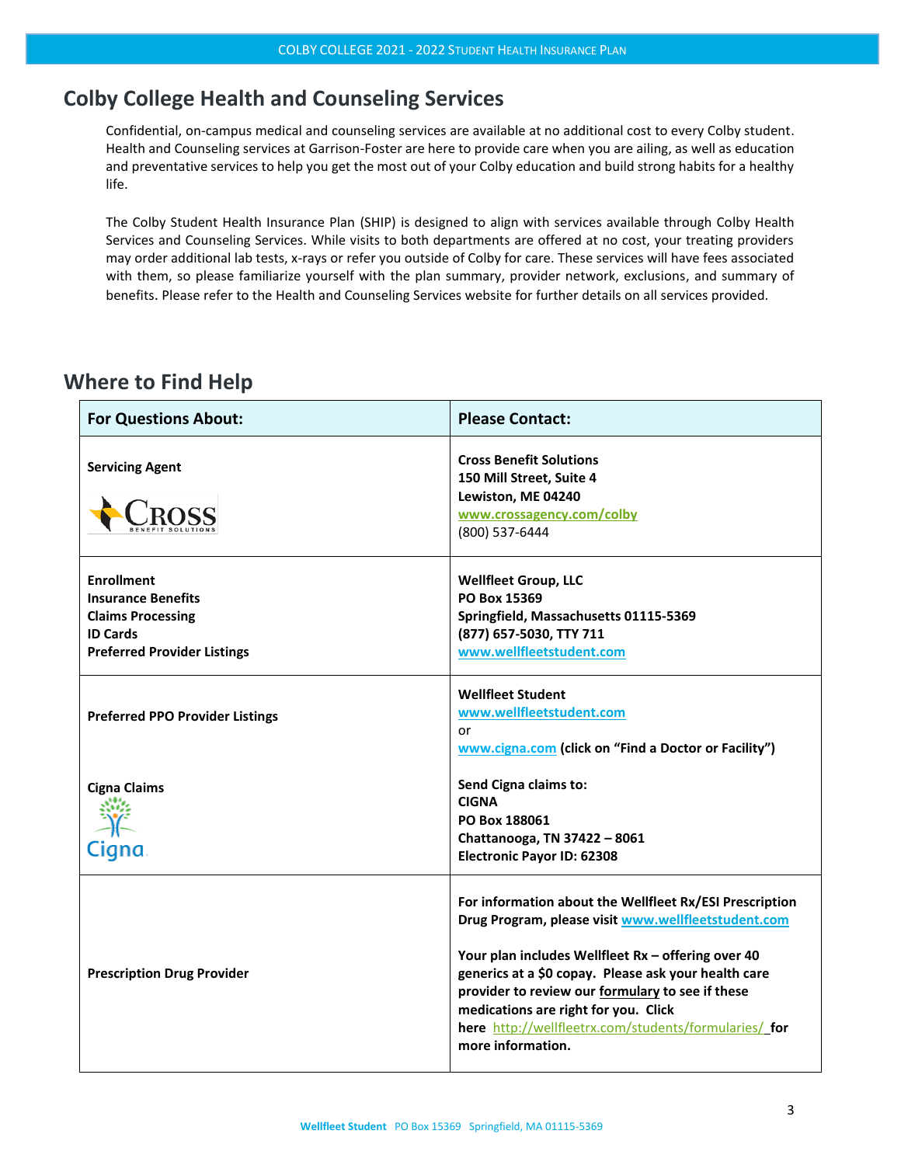# <span id="page-2-0"></span>**Colby College Health and Counseling Services**

Confidential, on-campus medical and counseling services are available at no additional cost to every Colby student. Health and Counseling services at Garrison-Foster are here to provide care when you are ailing, as well as education and preventative services to help you get the most out of your Colby education and build strong habits for a healthy life.

The Colby Student Health Insurance Plan (SHIP) is designed to align with services available through Colby Health Services and Counseling Services. While visits to both departments are offered at no cost, your treating providers may order additional lab tests, x-rays or refer you outside of Colby for care. These services will have fees associated with them, so please familiarize yourself with [the plan summary, provider network, exclusions,](https://www.studentinsurance.com/Client/1481) and summary of [benefits](https://www.studentinsurance.com/Client/1481). Please refer to th[e Health and Counseling Services website](https://link.zixcentral.com/u/e40b41bc/BvAONSKZ6hGi2kfYhnsoMg?u=https%3A%2F%2Fwww.colby.edu%2Fhealthandcounseling%2F) for further details on all services provided.

# <span id="page-2-1"></span>**Where to Find Help**

| <b>For Questions About:</b>                                                                                                         | <b>Please Contact:</b>                                                                                                                                                                                                                                                                                                                                                                                 |
|-------------------------------------------------------------------------------------------------------------------------------------|--------------------------------------------------------------------------------------------------------------------------------------------------------------------------------------------------------------------------------------------------------------------------------------------------------------------------------------------------------------------------------------------------------|
| <b>Servicing Agent</b>                                                                                                              | <b>Cross Benefit Solutions</b><br>150 Mill Street, Suite 4<br>Lewiston, ME 04240<br>www.crossagency.com/colby<br>(800) 537-6444                                                                                                                                                                                                                                                                        |
| <b>Enrollment</b><br><b>Insurance Benefits</b><br><b>Claims Processing</b><br><b>ID Cards</b><br><b>Preferred Provider Listings</b> | <b>Wellfleet Group, LLC</b><br>PO Box 15369<br>Springfield, Massachusetts 01115-5369<br>(877) 657-5030, TTY 711<br>www.wellfleetstudent.com                                                                                                                                                                                                                                                            |
| <b>Preferred PPO Provider Listings</b>                                                                                              | <b>Wellfleet Student</b><br>www.wellfleetstudent.com<br>or<br>www.cigna.com (click on "Find a Doctor or Facility")                                                                                                                                                                                                                                                                                     |
| <b>Cigna Claims</b><br>Cigna                                                                                                        | Send Cigna claims to:<br><b>CIGNA</b><br>PO Box 188061<br>Chattanooga, TN 37422 - 8061<br><b>Electronic Payor ID: 62308</b>                                                                                                                                                                                                                                                                            |
| <b>Prescription Drug Provider</b>                                                                                                   | For information about the Wellfleet Rx/ESI Prescription<br>Drug Program, please visit www.wellfleetstudent.com<br>Your plan includes Wellfleet Rx - offering over 40<br>generics at a \$0 copay. Please ask your health care<br>provider to review our formulary to see if these<br>medications are right for you. Click<br>here http://wellfleetrx.com/students/formularies/ for<br>more information. |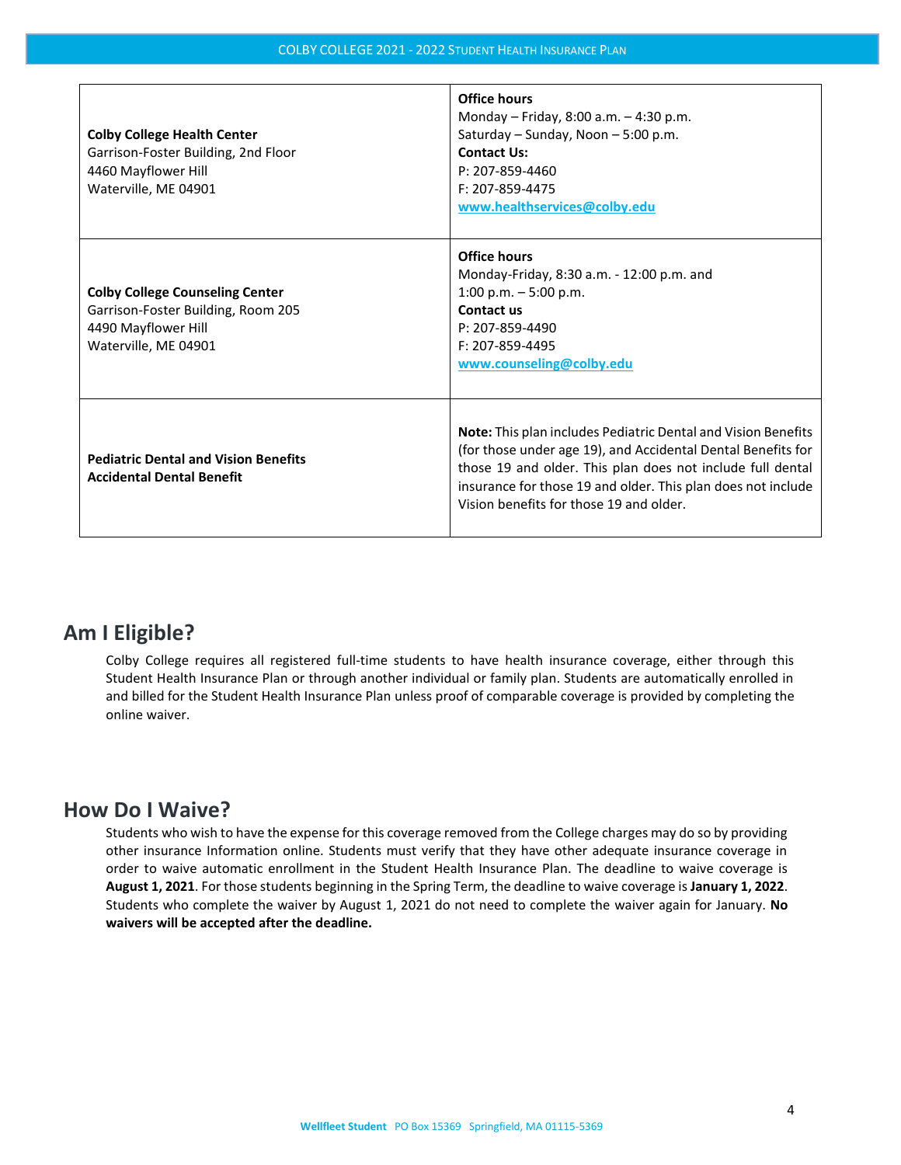| <b>Colby College Health Center</b><br>Garrison-Foster Building, 2nd Floor<br>4460 Mayflower Hill<br>Waterville, ME 04901    | <b>Office hours</b><br>Monday - Friday, 8:00 a.m. - 4:30 p.m.<br>Saturday - Sunday, Noon - 5:00 p.m.<br><b>Contact Us:</b><br>P: 207-859-4460<br>F: 207-859-4475<br>www.healthservices@colby.edu                                                                                                              |
|-----------------------------------------------------------------------------------------------------------------------------|---------------------------------------------------------------------------------------------------------------------------------------------------------------------------------------------------------------------------------------------------------------------------------------------------------------|
| <b>Colby College Counseling Center</b><br>Garrison-Foster Building, Room 205<br>4490 Mayflower Hill<br>Waterville, ME 04901 | <b>Office hours</b><br>Monday-Friday, 8:30 a.m. - 12:00 p.m. and<br>1:00 p.m. $-5:00$ p.m.<br>Contact us<br>P: 207-859-4490<br>F: 207-859-4495<br>www.counseling@colby.edu                                                                                                                                    |
| <b>Pediatric Dental and Vision Benefits</b><br><b>Accidental Dental Benefit</b>                                             | <b>Note:</b> This plan includes Pediatric Dental and Vision Benefits<br>(for those under age 19), and Accidental Dental Benefits for<br>those 19 and older. This plan does not include full dental<br>insurance for those 19 and older. This plan does not include<br>Vision benefits for those 19 and older. |

# <span id="page-3-0"></span>**Am I Eligible?**

Colby College requires all registered full-time students to have health insurance coverage, either through this Student Health Insurance Plan or through another individual or family plan. Students are automatically enrolled in and billed for the Student Health Insurance Plan unless proof of comparable coverage is provided by completing the online waiver.

## <span id="page-3-1"></span>**How Do I Waive?**

Students who wish to have the expense for this coverage removed from the College charges may do so by providing other insurance Information online. Students must verify that they have other adequate insurance coverage in order to waive automatic enrollment in the Student Health Insurance Plan. The deadline to waive coverage is **August 1, 2021**. For those students beginning in the Spring Term, the deadline to waive coverage is **January 1, 2022**. Students who complete the waiver by August 1, 2021 do not need to complete the waiver again for January. **No waivers will be accepted after the deadline.**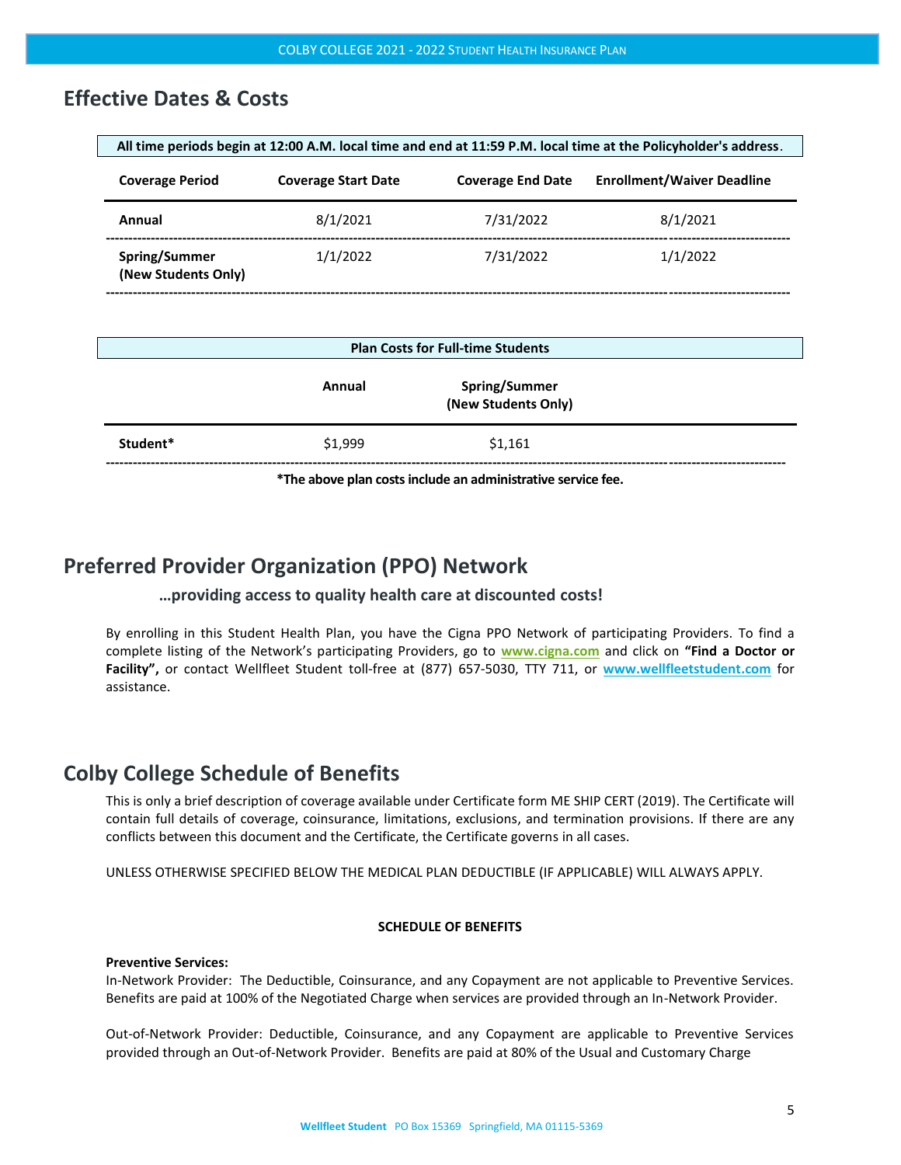## <span id="page-4-0"></span>**Effective Dates & Costs**

| All time periods begin at 12:00 A.M. local time and end at 11:59 P.M. local time at the Policyholder's address. |                            |                          |                                   |
|-----------------------------------------------------------------------------------------------------------------|----------------------------|--------------------------|-----------------------------------|
| <b>Coverage Period</b>                                                                                          | <b>Coverage Start Date</b> | <b>Coverage End Date</b> | <b>Enrollment/Waiver Deadline</b> |
| Annual                                                                                                          | 8/1/2021                   | 7/31/2022                | 8/1/2021                          |
| Spring/Summer<br>(New Students Only)                                                                            | 1/1/2022                   | 7/31/2022                | 1/1/2022                          |

| <b>Plan Costs for Full-time Students</b> |         |                                             |  |
|------------------------------------------|---------|---------------------------------------------|--|
|                                          | Annual  | <b>Spring/Summer</b><br>(New Students Only) |  |
| Student*                                 | \$1,999 | \$1,161                                     |  |

**\*The above plan costsinclude an administrative service fee.**

# <span id="page-4-1"></span>**Preferred Provider Organization (PPO) Network**

## **…providing access to quality health care at discounted costs!**

By enrolling in this Student Health Plan, you have the Cigna PPO Network of participating Providers. To find a complete listing of the Network's participating Providers, go to **[www.cigna.com](http://www.cigna.com/)** and click on **"Find a Doctor or Facility",** or contact Wellfleet Student toll-free at (877) 657-5030, TTY 711, or **[www.wellfleetstudent.com](http://www.wellfleetstudent.com/)** for assistance.

## <span id="page-4-2"></span>**Colby College Schedule of Benefits**

This is only a brief description of coverage available under Certificate form ME SHIP CERT (2019). The Certificate will contain full details of coverage, coinsurance, limitations, exclusions, and termination provisions. If there are any conflicts between this document and the Certificate, the Certificate governs in all cases.

UNLESS OTHERWISE SPECIFIED BELOW THE MEDICAL PLAN DEDUCTIBLE (IF APPLICABLE) WILL ALWAYS APPLY.

## **SCHEDULE OF BENEFITS**

#### **Preventive Services:**

In-Network Provider: The Deductible, Coinsurance, and any Copayment are not applicable to Preventive Services. Benefits are paid at 100% of the Negotiated Charge when services are provided through an In-Network Provider.

Out-of-Network Provider: Deductible, Coinsurance, and any Copayment are applicable to Preventive Services provided through an Out-of-Network Provider. Benefits are paid at 80% of the Usual and Customary Charge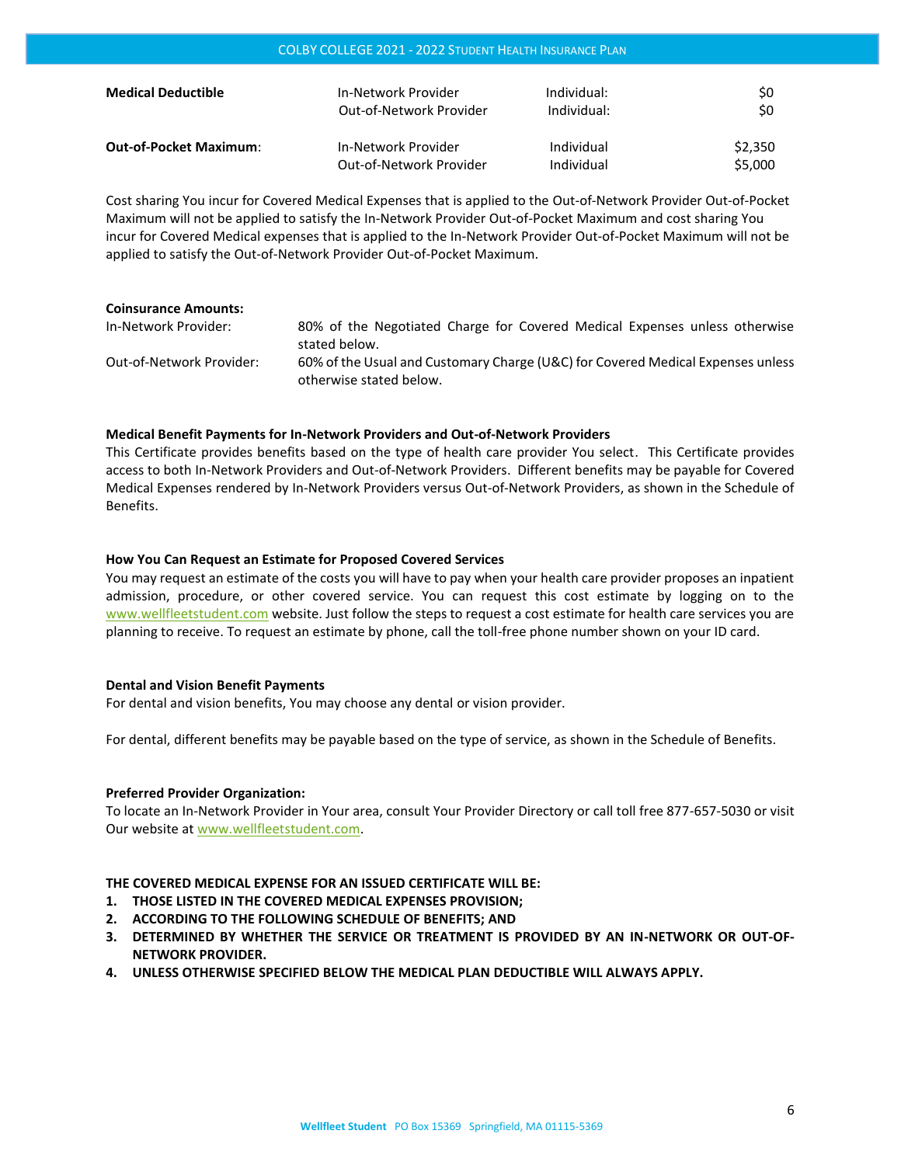| <b>Medical Deductible</b>     | In-Network Provider     | Individual: | SO.     |
|-------------------------------|-------------------------|-------------|---------|
|                               | Out-of-Network Provider | Individual: | \$0     |
| <b>Out-of-Pocket Maximum:</b> | In-Network Provider     | Individual  | \$2,350 |
|                               | Out-of-Network Provider | Individual  | \$5,000 |

COLBY COLLEGE 2021 - 2022 STUDENT HEALTH INSURANCE PLAN

Cost sharing You incur for Covered Medical Expenses that is applied to the Out-of-Network Provider Out-of-Pocket Maximum will not be applied to satisfy the In-Network Provider Out-of-Pocket Maximum and cost sharing You incur for Covered Medical expenses that is applied to the In-Network Provider Out-of-Pocket Maximum will not be applied to satisfy the Out-of-Network Provider Out-of-Pocket Maximum.

| <b>Coinsurance Amounts:</b> |                                                                                                            |
|-----------------------------|------------------------------------------------------------------------------------------------------------|
| In-Network Provider:        | 80% of the Negotiated Charge for Covered Medical Expenses unless otherwise<br>stated below.                |
| Out-of-Network Provider:    | 60% of the Usual and Customary Charge (U&C) for Covered Medical Expenses unless<br>otherwise stated below. |

### **Medical Benefit Payments for In-Network Providers and Out-of-Network Providers**

This Certificate provides benefits based on the type of health care provider You select. This Certificate provides access to both In-Network Providers and Out-of-Network Providers. Different benefits may be payable for Covered Medical Expenses rendered by In-Network Providers versus Out-of-Network Providers, as shown in the Schedule of Benefits.

#### **How You Can Request an Estimate for Proposed Covered Services**

You may request an estimate of the costs you will have to pay when your health care provider proposes an inpatient admission, procedure, or other covered service. You can request this cost estimate by logging on to the [www.wellfleetstudent.com](file://///athena/sales$/Schools/NGL%20TPA%20SCHOOLS%209.19.2019/Colby%20College/20.21%20PY/2021%20Policy/SOB%20and%20Exclusions/Current%20Version/www.wellfleetstudent.com%20) website. Just follow the steps to request a cost estimate for health care services you are planning to receive. To request an estimate by phone, call the toll-free phone number shown on your ID card.

#### **Dental and Vision Benefit Payments**

For dental and vision benefits, You may choose any dental or vision provider.

For dental, different benefits may be payable based on the type of service, as shown in the Schedule of Benefits.

#### **Preferred Provider Organization:**

To locate an In-Network Provider in Your area, consult Your Provider Directory or call toll free 877-657-5030 or visit Our website at [www.wellfleetstudent.com.](file://///athena/sales$/Schools/NGL%20TPA%20SCHOOLS%209.19.2019/Colby%20College/20.21%20PY/2021%20Policy/SOB%20and%20Exclusions/Current%20Version/www.wellfleetstudent.com)

## **THE COVERED MEDICAL EXPENSE FOR AN ISSUED CERTIFICATE WILL BE:**

- **1. THOSE LISTED IN THE COVERED MEDICAL EXPENSES PROVISION;**
- **2. ACCORDING TO THE FOLLOWING SCHEDULE OF BENEFITS; AND**
- **3. DETERMINED BY WHETHER THE SERVICE OR TREATMENT IS PROVIDED BY AN IN-NETWORK OR OUT-OF-NETWORK PROVIDER.**
- **4. UNLESS OTHERWISE SPECIFIED BELOW THE MEDICAL PLAN DEDUCTIBLE WILL ALWAYS APPLY.**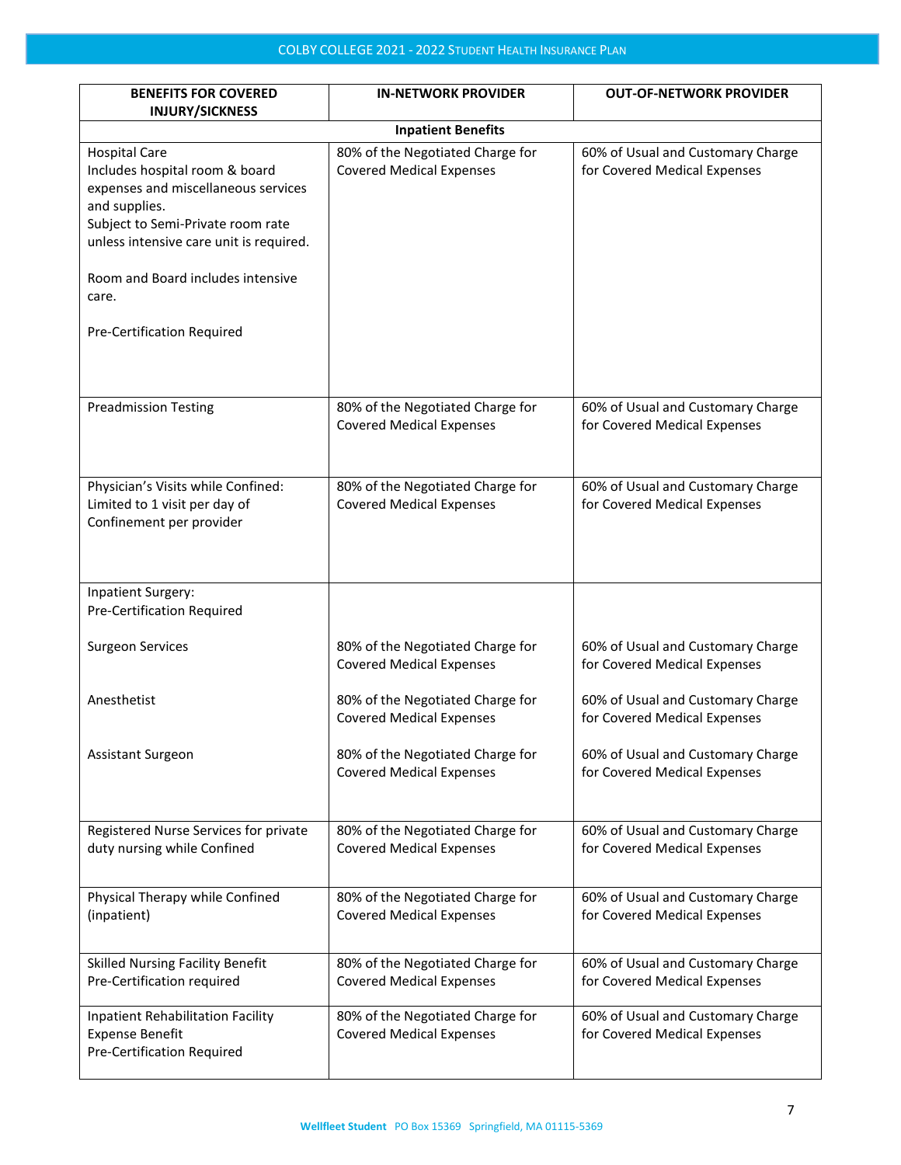| <b>BENEFITS FOR COVERED</b><br><b>INJURY/SICKNESS</b>                                                                                                                                          | <b>IN-NETWORK PROVIDER</b>                                          | <b>OUT-OF-NETWORK PROVIDER</b>                                    |
|------------------------------------------------------------------------------------------------------------------------------------------------------------------------------------------------|---------------------------------------------------------------------|-------------------------------------------------------------------|
|                                                                                                                                                                                                | <b>Inpatient Benefits</b>                                           |                                                                   |
| <b>Hospital Care</b><br>Includes hospital room & board<br>expenses and miscellaneous services<br>and supplies.<br>Subject to Semi-Private room rate<br>unless intensive care unit is required. | 80% of the Negotiated Charge for<br><b>Covered Medical Expenses</b> | 60% of Usual and Customary Charge<br>for Covered Medical Expenses |
| Room and Board includes intensive<br>care.                                                                                                                                                     |                                                                     |                                                                   |
| Pre-Certification Required                                                                                                                                                                     |                                                                     |                                                                   |
| <b>Preadmission Testing</b>                                                                                                                                                                    | 80% of the Negotiated Charge for<br><b>Covered Medical Expenses</b> | 60% of Usual and Customary Charge<br>for Covered Medical Expenses |
| Physician's Visits while Confined:<br>Limited to 1 visit per day of<br>Confinement per provider                                                                                                | 80% of the Negotiated Charge for<br><b>Covered Medical Expenses</b> | 60% of Usual and Customary Charge<br>for Covered Medical Expenses |
| <b>Inpatient Surgery:</b><br>Pre-Certification Required                                                                                                                                        |                                                                     |                                                                   |
| <b>Surgeon Services</b>                                                                                                                                                                        | 80% of the Negotiated Charge for<br><b>Covered Medical Expenses</b> | 60% of Usual and Customary Charge<br>for Covered Medical Expenses |
| Anesthetist                                                                                                                                                                                    | 80% of the Negotiated Charge for<br><b>Covered Medical Expenses</b> | 60% of Usual and Customary Charge<br>for Covered Medical Expenses |
| Assistant Surgeon                                                                                                                                                                              | 80% of the Negotiated Charge for<br><b>Covered Medical Expenses</b> | 60% of Usual and Customary Charge<br>for Covered Medical Expenses |
| Registered Nurse Services for private<br>duty nursing while Confined                                                                                                                           | 80% of the Negotiated Charge for<br><b>Covered Medical Expenses</b> | 60% of Usual and Customary Charge<br>for Covered Medical Expenses |
| Physical Therapy while Confined<br>(inpatient)                                                                                                                                                 | 80% of the Negotiated Charge for<br><b>Covered Medical Expenses</b> | 60% of Usual and Customary Charge<br>for Covered Medical Expenses |
| <b>Skilled Nursing Facility Benefit</b><br>Pre-Certification required                                                                                                                          | 80% of the Negotiated Charge for<br><b>Covered Medical Expenses</b> | 60% of Usual and Customary Charge<br>for Covered Medical Expenses |
| Inpatient Rehabilitation Facility<br><b>Expense Benefit</b><br>Pre-Certification Required                                                                                                      | 80% of the Negotiated Charge for<br><b>Covered Medical Expenses</b> | 60% of Usual and Customary Charge<br>for Covered Medical Expenses |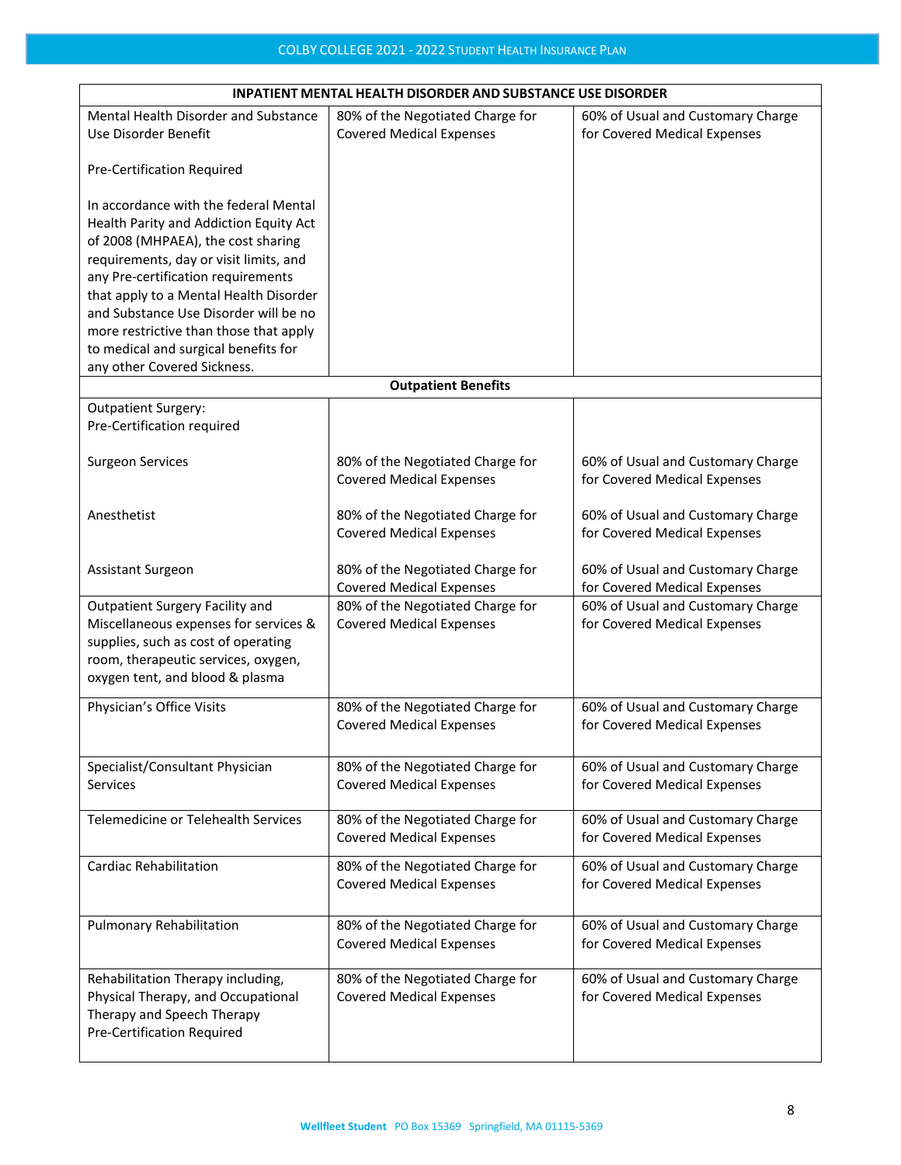| <b>INPATIENT MENTAL HEALTH DISORDER AND SUBSTANCE USE DISORDER</b> |                                  |                                   |  |
|--------------------------------------------------------------------|----------------------------------|-----------------------------------|--|
| Mental Health Disorder and Substance                               | 80% of the Negotiated Charge for | 60% of Usual and Customary Charge |  |
| Use Disorder Benefit                                               | <b>Covered Medical Expenses</b>  | for Covered Medical Expenses      |  |
|                                                                    |                                  |                                   |  |
| Pre-Certification Required                                         |                                  |                                   |  |
|                                                                    |                                  |                                   |  |
| In accordance with the federal Mental                              |                                  |                                   |  |
| Health Parity and Addiction Equity Act                             |                                  |                                   |  |
| of 2008 (MHPAEA), the cost sharing                                 |                                  |                                   |  |
| requirements, day or visit limits, and                             |                                  |                                   |  |
|                                                                    |                                  |                                   |  |
| any Pre-certification requirements                                 |                                  |                                   |  |
| that apply to a Mental Health Disorder                             |                                  |                                   |  |
| and Substance Use Disorder will be no                              |                                  |                                   |  |
| more restrictive than those that apply                             |                                  |                                   |  |
| to medical and surgical benefits for                               |                                  |                                   |  |
| any other Covered Sickness.                                        |                                  |                                   |  |
|                                                                    | <b>Outpatient Benefits</b>       |                                   |  |
| Outpatient Surgery:                                                |                                  |                                   |  |
| Pre-Certification required                                         |                                  |                                   |  |
|                                                                    |                                  |                                   |  |
| <b>Surgeon Services</b>                                            | 80% of the Negotiated Charge for | 60% of Usual and Customary Charge |  |
|                                                                    | <b>Covered Medical Expenses</b>  | for Covered Medical Expenses      |  |
|                                                                    |                                  |                                   |  |
| Anesthetist                                                        |                                  |                                   |  |
|                                                                    | 80% of the Negotiated Charge for | 60% of Usual and Customary Charge |  |
|                                                                    | <b>Covered Medical Expenses</b>  | for Covered Medical Expenses      |  |
|                                                                    |                                  |                                   |  |
| <b>Assistant Surgeon</b>                                           | 80% of the Negotiated Charge for | 60% of Usual and Customary Charge |  |
|                                                                    | <b>Covered Medical Expenses</b>  | for Covered Medical Expenses      |  |
| Outpatient Surgery Facility and                                    | 80% of the Negotiated Charge for | 60% of Usual and Customary Charge |  |
| Miscellaneous expenses for services &                              | <b>Covered Medical Expenses</b>  | for Covered Medical Expenses      |  |
| supplies, such as cost of operating                                |                                  |                                   |  |
| room, therapeutic services, oxygen,                                |                                  |                                   |  |
| oxygen tent, and blood & plasma                                    |                                  |                                   |  |
|                                                                    |                                  |                                   |  |
| Physician's Office Visits                                          | 80% of the Negotiated Charge for | 60% of Usual and Customary Charge |  |
|                                                                    | <b>Covered Medical Expenses</b>  | for Covered Medical Expenses      |  |
|                                                                    |                                  |                                   |  |
| Specialist/Consultant Physician                                    | 80% of the Negotiated Charge for | 60% of Usual and Customary Charge |  |
| <b>Services</b>                                                    | <b>Covered Medical Expenses</b>  | for Covered Medical Expenses      |  |
|                                                                    |                                  |                                   |  |
| Telemedicine or Telehealth Services                                | 80% of the Negotiated Charge for | 60% of Usual and Customary Charge |  |
|                                                                    |                                  |                                   |  |
|                                                                    | <b>Covered Medical Expenses</b>  | for Covered Medical Expenses      |  |
| Cardiac Rehabilitation                                             | 80% of the Negotiated Charge for | 60% of Usual and Customary Charge |  |
|                                                                    | <b>Covered Medical Expenses</b>  | for Covered Medical Expenses      |  |
|                                                                    |                                  |                                   |  |
|                                                                    |                                  |                                   |  |
| <b>Pulmonary Rehabilitation</b>                                    | 80% of the Negotiated Charge for | 60% of Usual and Customary Charge |  |
|                                                                    | <b>Covered Medical Expenses</b>  | for Covered Medical Expenses      |  |
|                                                                    |                                  |                                   |  |
| Rehabilitation Therapy including,                                  | 80% of the Negotiated Charge for | 60% of Usual and Customary Charge |  |
| Physical Therapy, and Occupational                                 | <b>Covered Medical Expenses</b>  | for Covered Medical Expenses      |  |
| Therapy and Speech Therapy                                         |                                  |                                   |  |
| <b>Pre-Certification Required</b>                                  |                                  |                                   |  |
|                                                                    |                                  |                                   |  |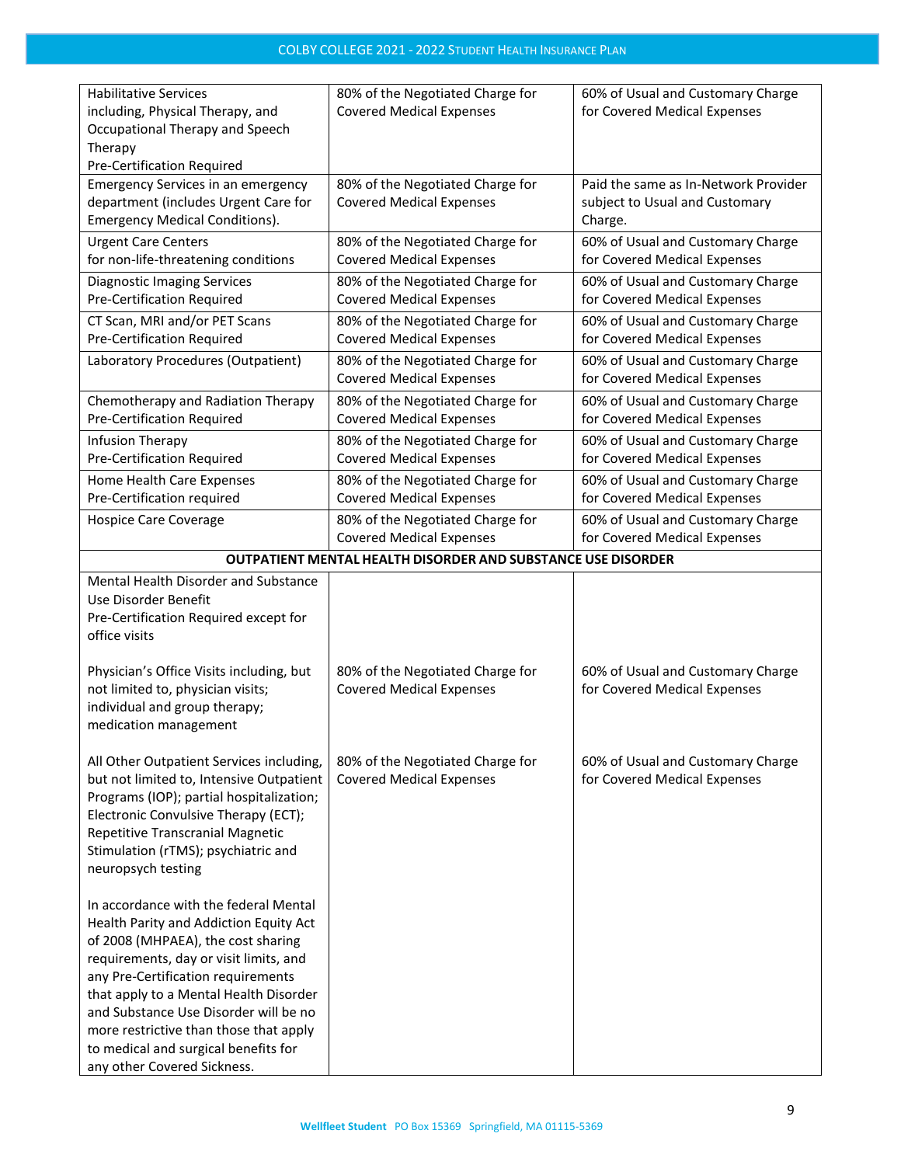| <b>Habilitative Services</b><br>including, Physical Therapy, and<br>Occupational Therapy and Speech<br>Therapy<br>Pre-Certification Required                                                                                                                                                                                                                                                              | 80% of the Negotiated Charge for<br><b>Covered Medical Expenses</b>                             | 60% of Usual and Customary Charge<br>for Covered Medical Expenses                 |
|-----------------------------------------------------------------------------------------------------------------------------------------------------------------------------------------------------------------------------------------------------------------------------------------------------------------------------------------------------------------------------------------------------------|-------------------------------------------------------------------------------------------------|-----------------------------------------------------------------------------------|
| <b>Emergency Services in an emergency</b><br>department (includes Urgent Care for<br><b>Emergency Medical Conditions).</b>                                                                                                                                                                                                                                                                                | 80% of the Negotiated Charge for<br><b>Covered Medical Expenses</b>                             | Paid the same as In-Network Provider<br>subject to Usual and Customary<br>Charge. |
| <b>Urgent Care Centers</b><br>for non-life-threatening conditions                                                                                                                                                                                                                                                                                                                                         | 80% of the Negotiated Charge for<br><b>Covered Medical Expenses</b>                             | 60% of Usual and Customary Charge<br>for Covered Medical Expenses                 |
| <b>Diagnostic Imaging Services</b><br>Pre-Certification Required                                                                                                                                                                                                                                                                                                                                          | 80% of the Negotiated Charge for<br><b>Covered Medical Expenses</b>                             | 60% of Usual and Customary Charge<br>for Covered Medical Expenses                 |
| CT Scan, MRI and/or PET Scans<br>Pre-Certification Required                                                                                                                                                                                                                                                                                                                                               | 80% of the Negotiated Charge for<br><b>Covered Medical Expenses</b>                             | 60% of Usual and Customary Charge<br>for Covered Medical Expenses                 |
| Laboratory Procedures (Outpatient)                                                                                                                                                                                                                                                                                                                                                                        | 80% of the Negotiated Charge for<br><b>Covered Medical Expenses</b>                             | 60% of Usual and Customary Charge<br>for Covered Medical Expenses                 |
| Chemotherapy and Radiation Therapy<br>Pre-Certification Required                                                                                                                                                                                                                                                                                                                                          | 80% of the Negotiated Charge for<br><b>Covered Medical Expenses</b>                             | 60% of Usual and Customary Charge<br>for Covered Medical Expenses                 |
| Infusion Therapy<br>Pre-Certification Required                                                                                                                                                                                                                                                                                                                                                            | 80% of the Negotiated Charge for<br><b>Covered Medical Expenses</b>                             | 60% of Usual and Customary Charge<br>for Covered Medical Expenses                 |
| Home Health Care Expenses<br>Pre-Certification required                                                                                                                                                                                                                                                                                                                                                   | 80% of the Negotiated Charge for                                                                | 60% of Usual and Customary Charge                                                 |
| Hospice Care Coverage                                                                                                                                                                                                                                                                                                                                                                                     | <b>Covered Medical Expenses</b><br>80% of the Negotiated Charge for                             | for Covered Medical Expenses<br>60% of Usual and Customary Charge                 |
|                                                                                                                                                                                                                                                                                                                                                                                                           | <b>Covered Medical Expenses</b><br>OUTPATIENT MENTAL HEALTH DISORDER AND SUBSTANCE USE DISORDER | for Covered Medical Expenses                                                      |
| Mental Health Disorder and Substance<br>Use Disorder Benefit<br>Pre-Certification Required except for<br>office visits                                                                                                                                                                                                                                                                                    |                                                                                                 |                                                                                   |
| Physician's Office Visits including, but<br>not limited to, physician visits;<br>individual and group therapy;<br>medication management                                                                                                                                                                                                                                                                   | 80% of the Negotiated Charge for<br><b>Covered Medical Expenses</b>                             | 60% of Usual and Customary Charge<br>for Covered Medical Expenses                 |
| All Other Outpatient Services including,<br>but not limited to, Intensive Outpatient<br>Programs (IOP); partial hospitalization;<br>Electronic Convulsive Therapy (ECT);<br>Repetitive Transcranial Magnetic<br>Stimulation (rTMS); psychiatric and<br>neuropsych testing                                                                                                                                 | 80% of the Negotiated Charge for<br><b>Covered Medical Expenses</b>                             | 60% of Usual and Customary Charge<br>for Covered Medical Expenses                 |
| In accordance with the federal Mental<br>Health Parity and Addiction Equity Act<br>of 2008 (MHPAEA), the cost sharing<br>requirements, day or visit limits, and<br>any Pre-Certification requirements<br>that apply to a Mental Health Disorder<br>and Substance Use Disorder will be no<br>more restrictive than those that apply<br>to medical and surgical benefits for<br>any other Covered Sickness. |                                                                                                 |                                                                                   |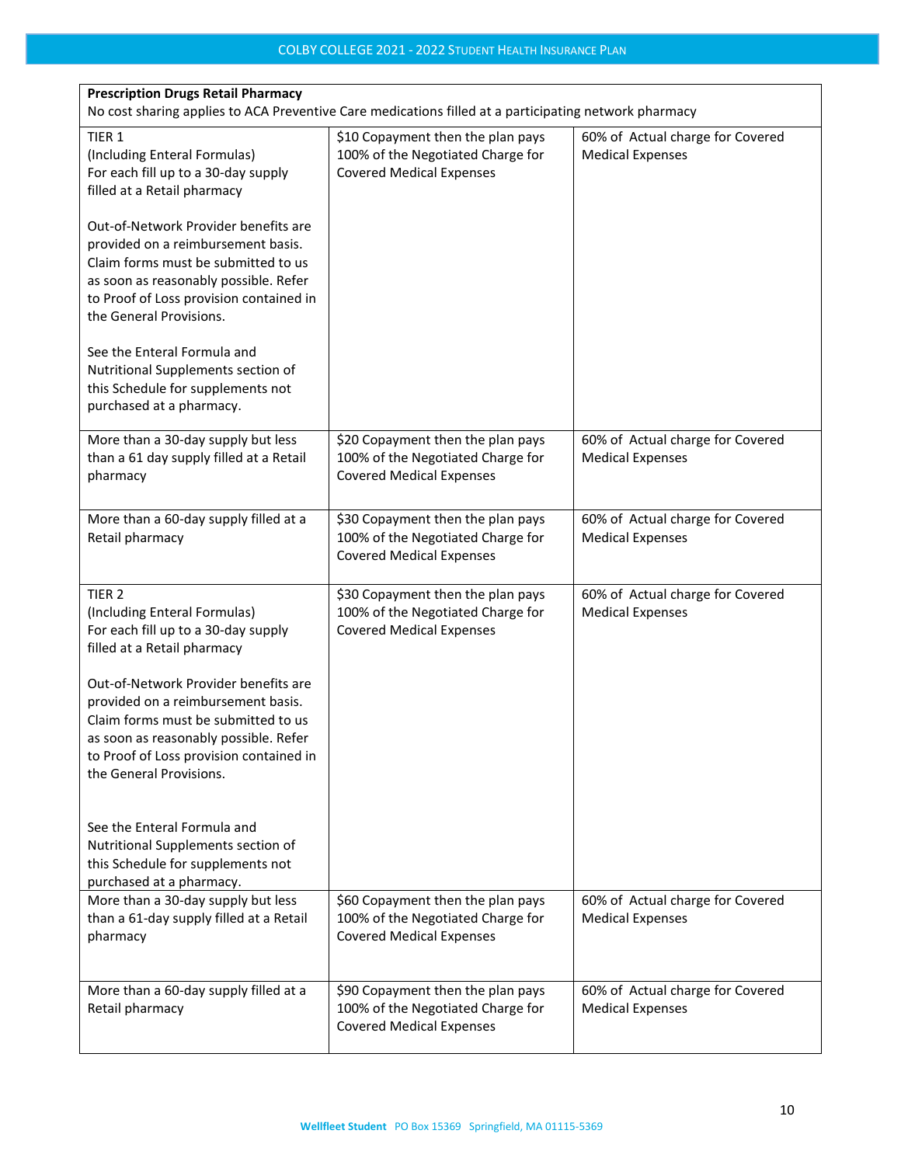| <b>Prescription Drugs Retail Pharmacy</b><br>No cost sharing applies to ACA Preventive Care medications filled at a participating network pharmacy                                                                               |                                                                                                           |                                                             |  |
|----------------------------------------------------------------------------------------------------------------------------------------------------------------------------------------------------------------------------------|-----------------------------------------------------------------------------------------------------------|-------------------------------------------------------------|--|
| TIER 1<br>(Including Enteral Formulas)<br>For each fill up to a 30-day supply<br>filled at a Retail pharmacy                                                                                                                     | \$10 Copayment then the plan pays<br>100% of the Negotiated Charge for<br><b>Covered Medical Expenses</b> | 60% of Actual charge for Covered<br><b>Medical Expenses</b> |  |
| Out-of-Network Provider benefits are<br>provided on a reimbursement basis.<br>Claim forms must be submitted to us<br>as soon as reasonably possible. Refer<br>to Proof of Loss provision contained in<br>the General Provisions. |                                                                                                           |                                                             |  |
| See the Enteral Formula and<br>Nutritional Supplements section of<br>this Schedule for supplements not<br>purchased at a pharmacy.                                                                                               |                                                                                                           |                                                             |  |
| More than a 30-day supply but less<br>than a 61 day supply filled at a Retail<br>pharmacy                                                                                                                                        | \$20 Copayment then the plan pays<br>100% of the Negotiated Charge for<br><b>Covered Medical Expenses</b> | 60% of Actual charge for Covered<br><b>Medical Expenses</b> |  |
| More than a 60-day supply filled at a<br>Retail pharmacy                                                                                                                                                                         | \$30 Copayment then the plan pays<br>100% of the Negotiated Charge for<br><b>Covered Medical Expenses</b> | 60% of Actual charge for Covered<br><b>Medical Expenses</b> |  |
| TIER <sub>2</sub><br>(Including Enteral Formulas)<br>For each fill up to a 30-day supply<br>filled at a Retail pharmacy                                                                                                          | \$30 Copayment then the plan pays<br>100% of the Negotiated Charge for<br><b>Covered Medical Expenses</b> | 60% of Actual charge for Covered<br><b>Medical Expenses</b> |  |
| Out-of-Network Provider benefits are<br>provided on a reimbursement basis.<br>Claim forms must be submitted to us<br>as soon as reasonably possible. Refer<br>to Proof of Loss provision contained in<br>the General Provisions. |                                                                                                           |                                                             |  |
| See the Enteral Formula and<br>Nutritional Supplements section of<br>this Schedule for supplements not<br>purchased at a pharmacy.                                                                                               |                                                                                                           |                                                             |  |
| More than a 30-day supply but less<br>than a 61-day supply filled at a Retail<br>pharmacy                                                                                                                                        | \$60 Copayment then the plan pays<br>100% of the Negotiated Charge for<br><b>Covered Medical Expenses</b> | 60% of Actual charge for Covered<br><b>Medical Expenses</b> |  |
| More than a 60-day supply filled at a<br>Retail pharmacy                                                                                                                                                                         | \$90 Copayment then the plan pays<br>100% of the Negotiated Charge for<br><b>Covered Medical Expenses</b> | 60% of Actual charge for Covered<br><b>Medical Expenses</b> |  |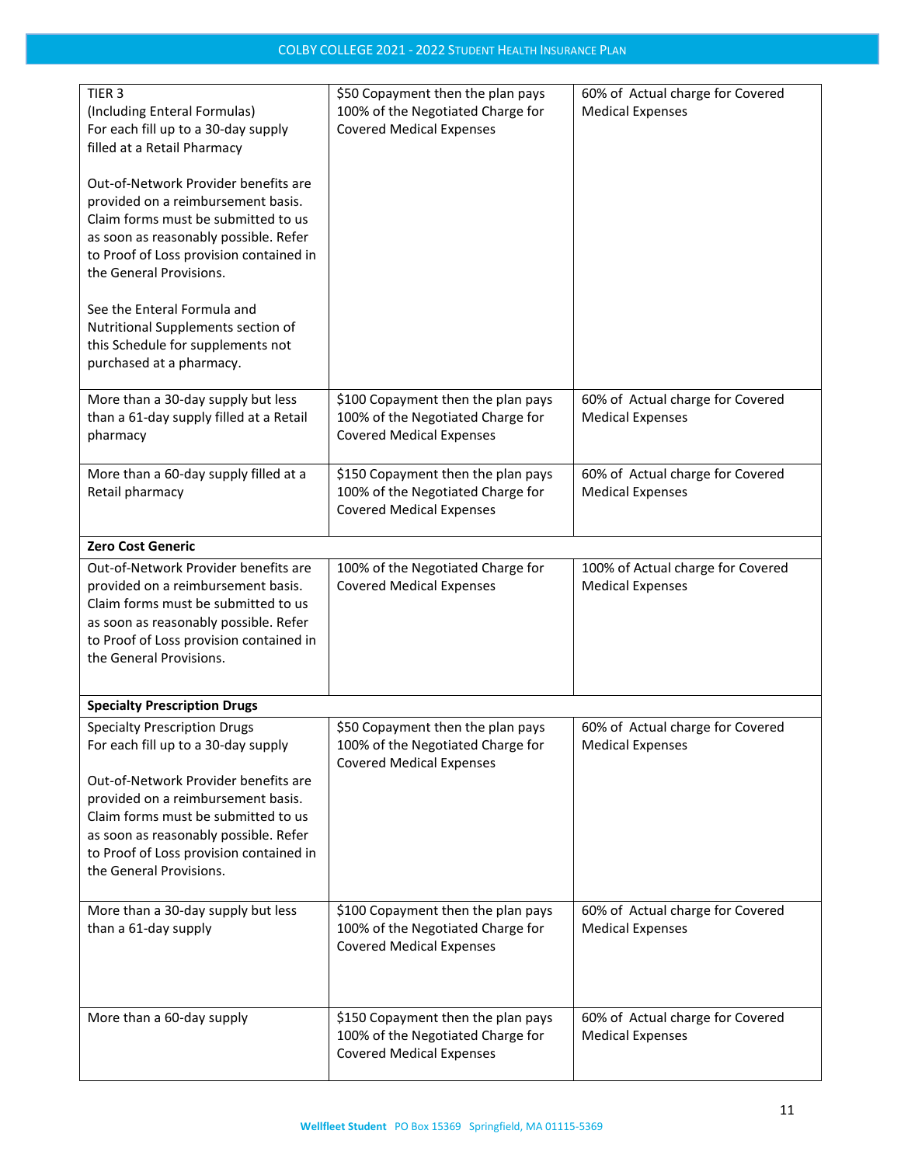| TIER <sub>3</sub><br>(Including Enteral Formulas)<br>For each fill up to a 30-day supply<br>filled at a Retail Pharmacy<br>Out-of-Network Provider benefits are<br>provided on a reimbursement basis.<br>Claim forms must be submitted to us<br>as soon as reasonably possible. Refer<br>to Proof of Loss provision contained in<br>the General Provisions.<br>See the Enteral Formula and<br>Nutritional Supplements section of<br>this Schedule for supplements not<br>purchased at a pharmacy. | \$50 Copayment then the plan pays<br>100% of the Negotiated Charge for<br><b>Covered Medical Expenses</b>  | 60% of Actual charge for Covered<br><b>Medical Expenses</b>  |
|---------------------------------------------------------------------------------------------------------------------------------------------------------------------------------------------------------------------------------------------------------------------------------------------------------------------------------------------------------------------------------------------------------------------------------------------------------------------------------------------------|------------------------------------------------------------------------------------------------------------|--------------------------------------------------------------|
| More than a 30-day supply but less<br>than a 61-day supply filled at a Retail<br>pharmacy                                                                                                                                                                                                                                                                                                                                                                                                         | \$100 Copayment then the plan pays<br>100% of the Negotiated Charge for<br><b>Covered Medical Expenses</b> | 60% of Actual charge for Covered<br><b>Medical Expenses</b>  |
| More than a 60-day supply filled at a<br>Retail pharmacy                                                                                                                                                                                                                                                                                                                                                                                                                                          | \$150 Copayment then the plan pays<br>100% of the Negotiated Charge for<br><b>Covered Medical Expenses</b> | 60% of Actual charge for Covered<br><b>Medical Expenses</b>  |
| <b>Zero Cost Generic</b>                                                                                                                                                                                                                                                                                                                                                                                                                                                                          |                                                                                                            |                                                              |
| Out-of-Network Provider benefits are<br>provided on a reimbursement basis.<br>Claim forms must be submitted to us<br>as soon as reasonably possible. Refer<br>to Proof of Loss provision contained in<br>the General Provisions.                                                                                                                                                                                                                                                                  | 100% of the Negotiated Charge for<br><b>Covered Medical Expenses</b>                                       | 100% of Actual charge for Covered<br><b>Medical Expenses</b> |
| <b>Specialty Prescription Drugs</b>                                                                                                                                                                                                                                                                                                                                                                                                                                                               |                                                                                                            |                                                              |
| <b>Specialty Prescription Drugs</b><br>For each fill up to a 30-day supply<br>Out-of-Network Provider benefits are<br>provided on a reimbursement basis.<br>Claim forms must be submitted to us<br>as soon as reasonably possible. Refer<br>to Proof of Loss provision contained in<br>the General Provisions.                                                                                                                                                                                    | \$50 Copayment then the plan pays<br>100% of the Negotiated Charge for<br><b>Covered Medical Expenses</b>  | 60% of Actual charge for Covered<br><b>Medical Expenses</b>  |
| More than a 30-day supply but less<br>than a 61-day supply                                                                                                                                                                                                                                                                                                                                                                                                                                        | \$100 Copayment then the plan pays<br>100% of the Negotiated Charge for<br><b>Covered Medical Expenses</b> | 60% of Actual charge for Covered<br><b>Medical Expenses</b>  |
| More than a 60-day supply                                                                                                                                                                                                                                                                                                                                                                                                                                                                         | \$150 Copayment then the plan pays<br>100% of the Negotiated Charge for<br><b>Covered Medical Expenses</b> | 60% of Actual charge for Covered<br><b>Medical Expenses</b>  |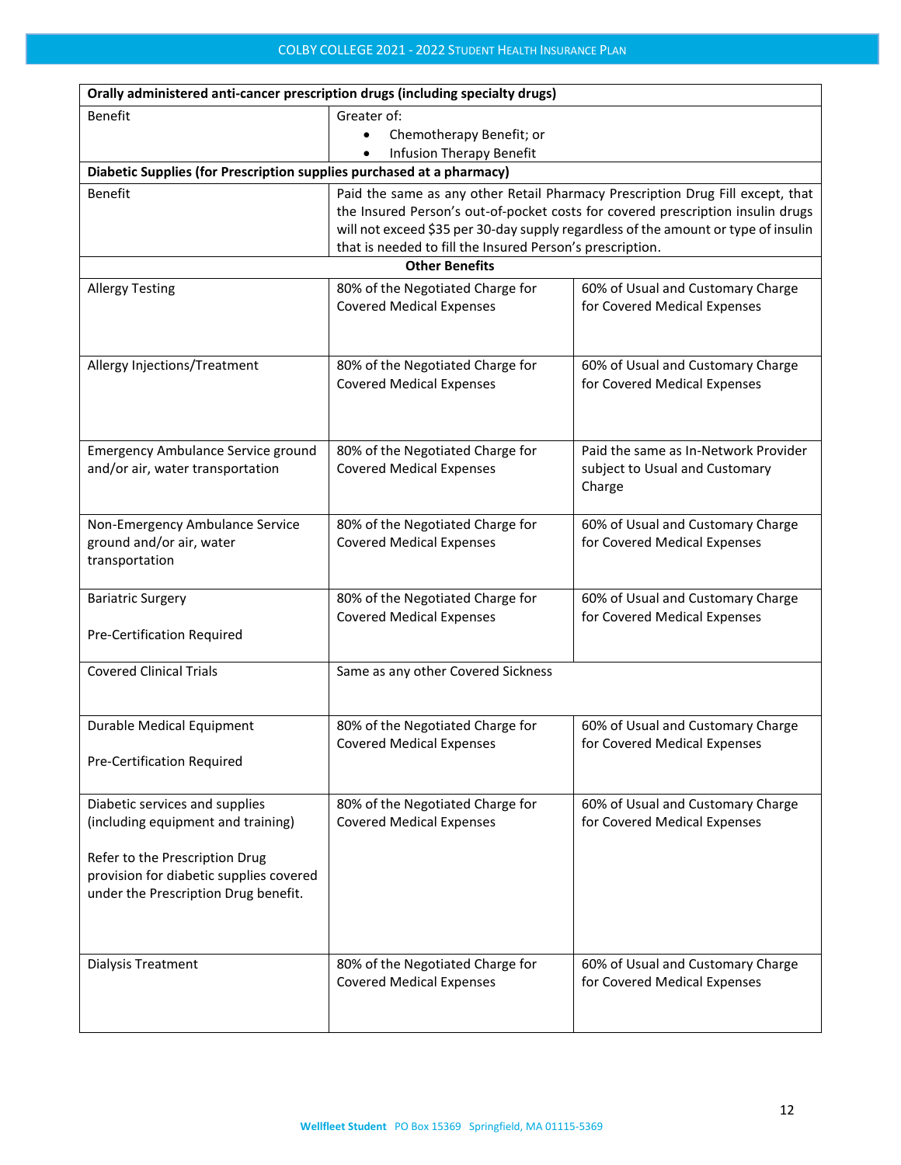| Orally administered anti-cancer prescription drugs (including specialty drugs) |                                                                                |                                                                                    |  |  |  |
|--------------------------------------------------------------------------------|--------------------------------------------------------------------------------|------------------------------------------------------------------------------------|--|--|--|
| <b>Benefit</b>                                                                 | Greater of:                                                                    |                                                                                    |  |  |  |
|                                                                                | Chemotherapy Benefit; or<br>$\bullet$                                          |                                                                                    |  |  |  |
|                                                                                | Infusion Therapy Benefit                                                       |                                                                                    |  |  |  |
| Diabetic Supplies (for Prescription supplies purchased at a pharmacy)          |                                                                                |                                                                                    |  |  |  |
| <b>Benefit</b>                                                                 | Paid the same as any other Retail Pharmacy Prescription Drug Fill except, that |                                                                                    |  |  |  |
|                                                                                |                                                                                | the Insured Person's out-of-pocket costs for covered prescription insulin drugs    |  |  |  |
|                                                                                |                                                                                | will not exceed \$35 per 30-day supply regardless of the amount or type of insulin |  |  |  |
|                                                                                | that is needed to fill the Insured Person's prescription.                      |                                                                                    |  |  |  |
|                                                                                | <b>Other Benefits</b>                                                          |                                                                                    |  |  |  |
| <b>Allergy Testing</b>                                                         | 80% of the Negotiated Charge for                                               | 60% of Usual and Customary Charge                                                  |  |  |  |
|                                                                                | <b>Covered Medical Expenses</b>                                                | for Covered Medical Expenses                                                       |  |  |  |
|                                                                                |                                                                                |                                                                                    |  |  |  |
|                                                                                |                                                                                |                                                                                    |  |  |  |
| Allergy Injections/Treatment                                                   | 80% of the Negotiated Charge for                                               | 60% of Usual and Customary Charge                                                  |  |  |  |
|                                                                                | <b>Covered Medical Expenses</b>                                                | for Covered Medical Expenses                                                       |  |  |  |
|                                                                                |                                                                                |                                                                                    |  |  |  |
|                                                                                |                                                                                |                                                                                    |  |  |  |
| <b>Emergency Ambulance Service ground</b>                                      | 80% of the Negotiated Charge for                                               | Paid the same as In-Network Provider                                               |  |  |  |
| and/or air, water transportation                                               | <b>Covered Medical Expenses</b>                                                | subject to Usual and Customary                                                     |  |  |  |
|                                                                                |                                                                                | Charge                                                                             |  |  |  |
|                                                                                |                                                                                |                                                                                    |  |  |  |
| Non-Emergency Ambulance Service                                                | 80% of the Negotiated Charge for                                               | 60% of Usual and Customary Charge                                                  |  |  |  |
| ground and/or air, water                                                       | <b>Covered Medical Expenses</b>                                                | for Covered Medical Expenses                                                       |  |  |  |
| transportation                                                                 |                                                                                |                                                                                    |  |  |  |
|                                                                                |                                                                                |                                                                                    |  |  |  |
| <b>Bariatric Surgery</b>                                                       | 80% of the Negotiated Charge for                                               | 60% of Usual and Customary Charge                                                  |  |  |  |
|                                                                                | <b>Covered Medical Expenses</b>                                                | for Covered Medical Expenses                                                       |  |  |  |
| <b>Pre-Certification Required</b>                                              |                                                                                |                                                                                    |  |  |  |
| <b>Covered Clinical Trials</b>                                                 |                                                                                |                                                                                    |  |  |  |
|                                                                                | Same as any other Covered Sickness                                             |                                                                                    |  |  |  |
|                                                                                |                                                                                |                                                                                    |  |  |  |
| Durable Medical Equipment                                                      | 80% of the Negotiated Charge for                                               | 60% of Usual and Customary Charge                                                  |  |  |  |
|                                                                                | <b>Covered Medical Expenses</b>                                                | for Covered Medical Expenses                                                       |  |  |  |
| Pre-Certification Required                                                     |                                                                                |                                                                                    |  |  |  |
|                                                                                |                                                                                |                                                                                    |  |  |  |
| Diabetic services and supplies                                                 | 80% of the Negotiated Charge for                                               | 60% of Usual and Customary Charge                                                  |  |  |  |
| (including equipment and training)                                             | <b>Covered Medical Expenses</b>                                                | for Covered Medical Expenses                                                       |  |  |  |
|                                                                                |                                                                                |                                                                                    |  |  |  |
| Refer to the Prescription Drug                                                 |                                                                                |                                                                                    |  |  |  |
| provision for diabetic supplies covered                                        |                                                                                |                                                                                    |  |  |  |
| under the Prescription Drug benefit.                                           |                                                                                |                                                                                    |  |  |  |
|                                                                                |                                                                                |                                                                                    |  |  |  |
|                                                                                |                                                                                |                                                                                    |  |  |  |
| Dialysis Treatment                                                             | 80% of the Negotiated Charge for                                               | 60% of Usual and Customary Charge                                                  |  |  |  |
|                                                                                | <b>Covered Medical Expenses</b>                                                | for Covered Medical Expenses                                                       |  |  |  |
|                                                                                |                                                                                |                                                                                    |  |  |  |
|                                                                                |                                                                                |                                                                                    |  |  |  |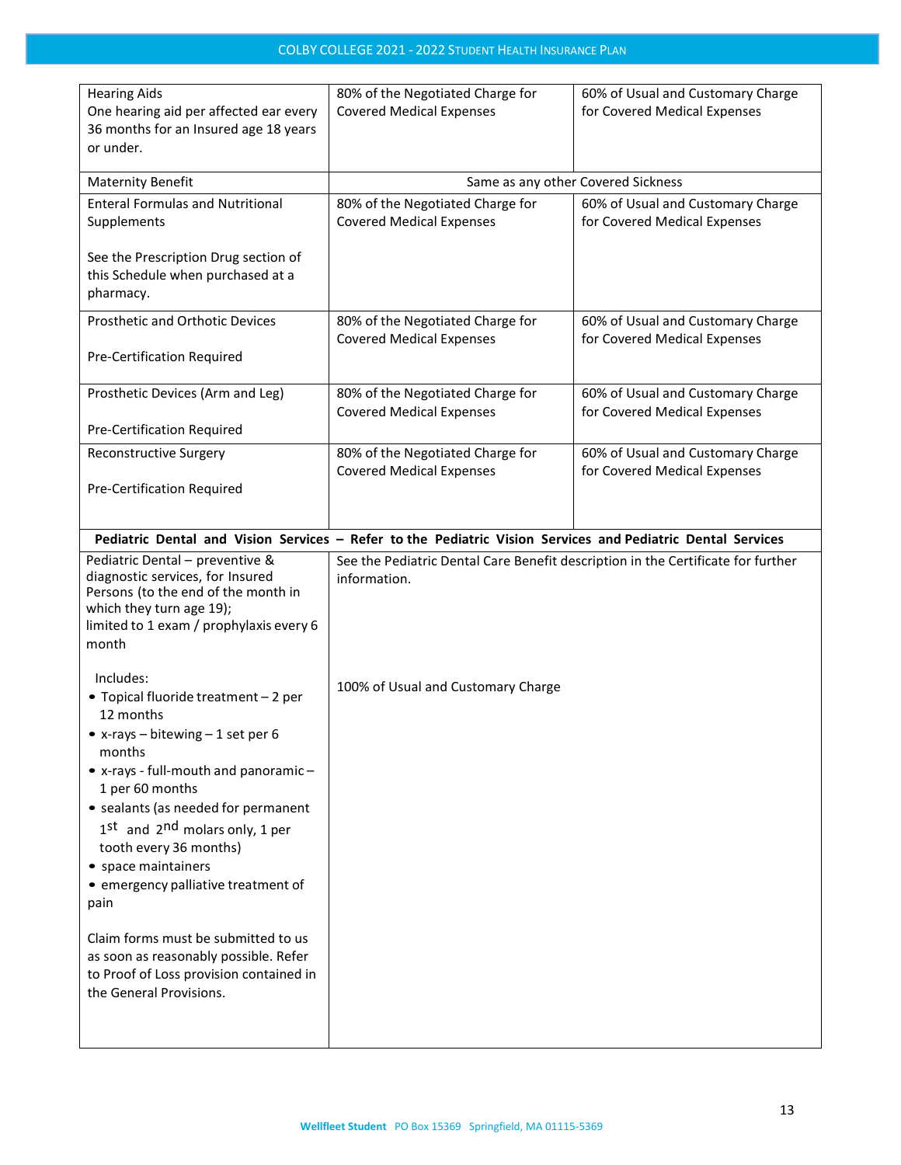| 80% of the Negotiated Charge for<br><b>Covered Medical Expenses</b>                                         | 60% of Usual and Customary Charge<br>for Covered Medical Expenses |  |
|-------------------------------------------------------------------------------------------------------------|-------------------------------------------------------------------|--|
| Same as any other Covered Sickness                                                                          |                                                                   |  |
| 80% of the Negotiated Charge for<br><b>Covered Medical Expenses</b>                                         | 60% of Usual and Customary Charge<br>for Covered Medical Expenses |  |
|                                                                                                             |                                                                   |  |
| 80% of the Negotiated Charge for<br><b>Covered Medical Expenses</b>                                         | 60% of Usual and Customary Charge<br>for Covered Medical Expenses |  |
|                                                                                                             |                                                                   |  |
| 80% of the Negotiated Charge for<br><b>Covered Medical Expenses</b>                                         | 60% of Usual and Customary Charge<br>for Covered Medical Expenses |  |
|                                                                                                             |                                                                   |  |
| 80% of the Negotiated Charge for<br><b>Covered Medical Expenses</b>                                         | 60% of Usual and Customary Charge<br>for Covered Medical Expenses |  |
|                                                                                                             |                                                                   |  |
| Pediatric Dental and Vision Services - Refer to the Pediatric Vision Services and Pediatric Dental Services |                                                                   |  |
| See the Pediatric Dental Care Benefit description in the Certificate for further<br>information.            |                                                                   |  |
| 100% of Usual and Customary Charge                                                                          |                                                                   |  |
|                                                                                                             |                                                                   |  |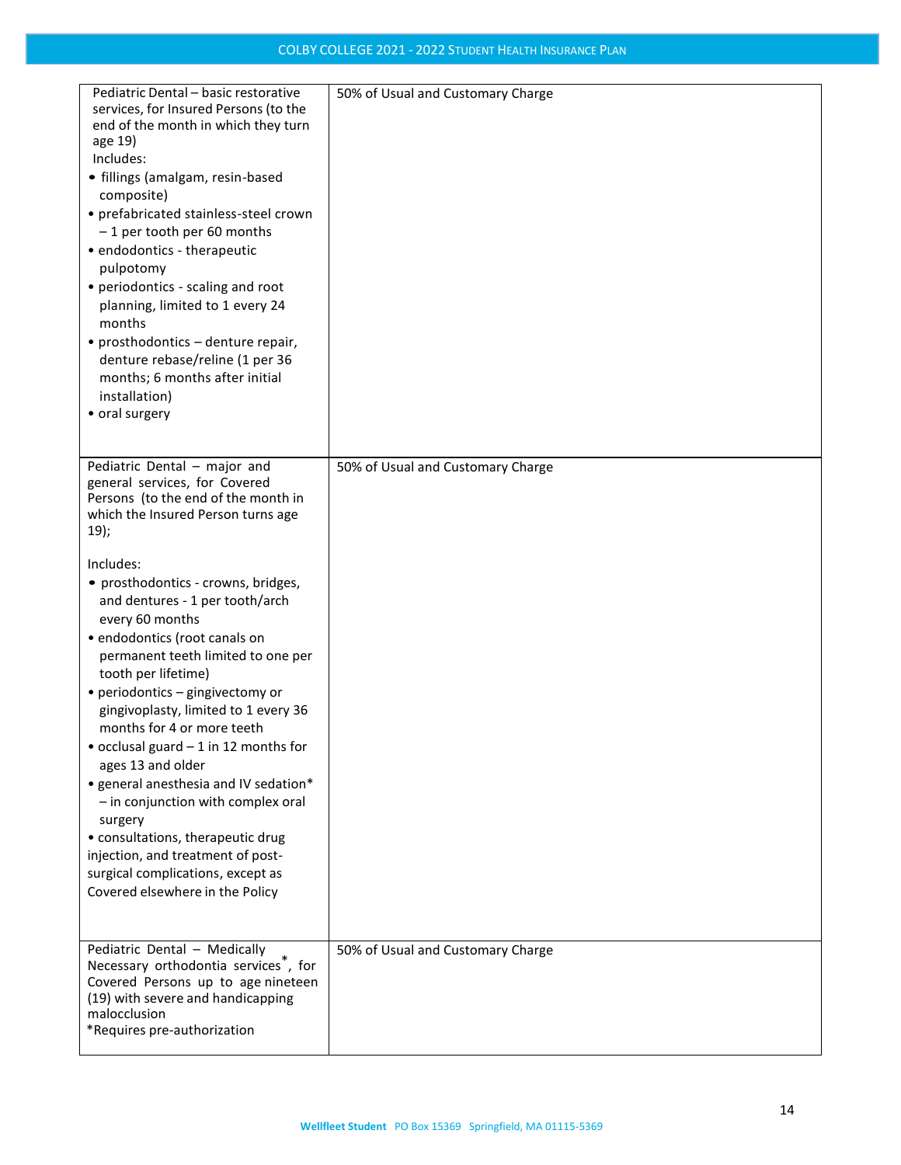| Pediatric Dental - basic restorative<br>services, for Insured Persons (to the<br>end of the month in which they turn<br>age 19)<br>Includes:<br>· fillings (amalgam, resin-based<br>composite)<br>• prefabricated stainless-steel crown<br>-1 per tooth per 60 months<br>• endodontics - therapeutic<br>pulpotomy<br>• periodontics - scaling and root<br>planning, limited to 1 every 24<br>months<br>• prosthodontics - denture repair,<br>denture rebase/reline (1 per 36<br>months; 6 months after initial<br>installation)<br>• oral surgery                                                                        | 50% of Usual and Customary Charge |
|--------------------------------------------------------------------------------------------------------------------------------------------------------------------------------------------------------------------------------------------------------------------------------------------------------------------------------------------------------------------------------------------------------------------------------------------------------------------------------------------------------------------------------------------------------------------------------------------------------------------------|-----------------------------------|
| Pediatric Dental - major and<br>general services, for Covered<br>Persons (to the end of the month in<br>which the Insured Person turns age<br>19);                                                                                                                                                                                                                                                                                                                                                                                                                                                                       | 50% of Usual and Customary Charge |
| Includes:<br>• prosthodontics - crowns, bridges,<br>and dentures - 1 per tooth/arch<br>every 60 months<br>· endodontics (root canals on<br>permanent teeth limited to one per<br>tooth per lifetime)<br>• periodontics – gingivectomy or<br>gingivoplasty, limited to 1 every 36<br>months for 4 or more teeth<br>• occlusal guard - 1 in 12 months for<br>ages 13 and older<br>• general anesthesia and IV sedation*<br>- in conjunction with complex oral<br>surgery<br>• consultations, therapeutic drug<br>injection, and treatment of post-<br>surgical complications, except as<br>Covered elsewhere in the Policy |                                   |
| Pediatric Dental - Medically<br>Necessary orthodontia services <sup>7</sup> , for<br>Covered Persons up to age nineteen<br>(19) with severe and handicapping<br>malocclusion<br>*Requires pre-authorization                                                                                                                                                                                                                                                                                                                                                                                                              | 50% of Usual and Customary Charge |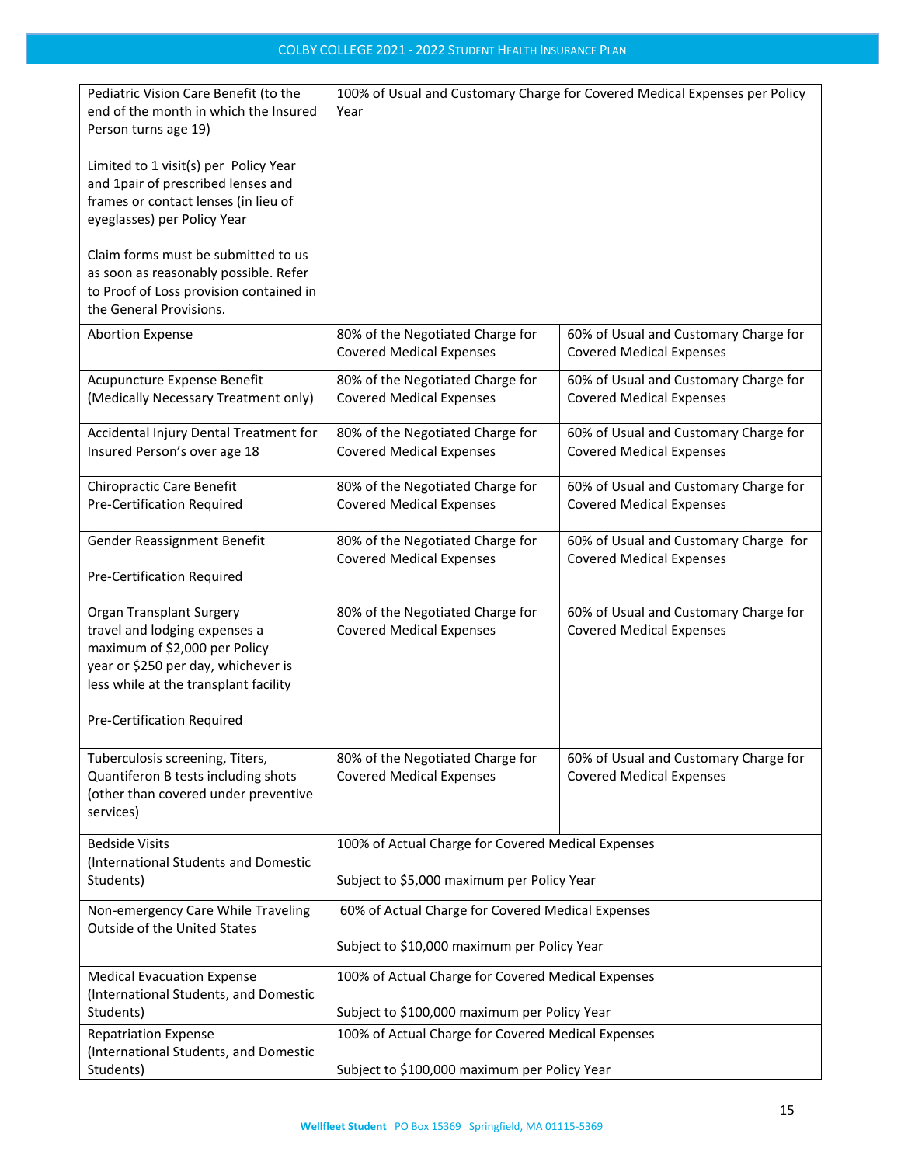| Pediatric Vision Care Benefit (to the<br>end of the month in which the Insured<br>Person turns age 19)<br>Limited to 1 visit(s) per Policy Year<br>and 1pair of prescribed lenses and<br>frames or contact lenses (in lieu of<br>eyeglasses) per Policy Year | 100% of Usual and Customary Charge for Covered Medical Expenses per Policy<br>Year                 |                                                                          |  |
|--------------------------------------------------------------------------------------------------------------------------------------------------------------------------------------------------------------------------------------------------------------|----------------------------------------------------------------------------------------------------|--------------------------------------------------------------------------|--|
| Claim forms must be submitted to us<br>as soon as reasonably possible. Refer<br>to Proof of Loss provision contained in<br>the General Provisions.                                                                                                           |                                                                                                    |                                                                          |  |
| <b>Abortion Expense</b>                                                                                                                                                                                                                                      | 80% of the Negotiated Charge for<br><b>Covered Medical Expenses</b>                                | 60% of Usual and Customary Charge for<br><b>Covered Medical Expenses</b> |  |
| Acupuncture Expense Benefit<br>(Medically Necessary Treatment only)                                                                                                                                                                                          | 80% of the Negotiated Charge for<br><b>Covered Medical Expenses</b>                                | 60% of Usual and Customary Charge for<br><b>Covered Medical Expenses</b> |  |
| Accidental Injury Dental Treatment for<br>Insured Person's over age 18                                                                                                                                                                                       | 80% of the Negotiated Charge for<br><b>Covered Medical Expenses</b>                                | 60% of Usual and Customary Charge for<br><b>Covered Medical Expenses</b> |  |
| <b>Chiropractic Care Benefit</b><br>Pre-Certification Required                                                                                                                                                                                               | 80% of the Negotiated Charge for<br><b>Covered Medical Expenses</b>                                | 60% of Usual and Customary Charge for<br><b>Covered Medical Expenses</b> |  |
| Gender Reassignment Benefit<br>Pre-Certification Required                                                                                                                                                                                                    | 80% of the Negotiated Charge for<br><b>Covered Medical Expenses</b>                                | 60% of Usual and Customary Charge for<br><b>Covered Medical Expenses</b> |  |
| <b>Organ Transplant Surgery</b><br>travel and lodging expenses a<br>maximum of \$2,000 per Policy<br>year or \$250 per day, whichever is<br>less while at the transplant facility<br>Pre-Certification Required                                              | 80% of the Negotiated Charge for<br><b>Covered Medical Expenses</b>                                | 60% of Usual and Customary Charge for<br><b>Covered Medical Expenses</b> |  |
| Tuberculosis screening, Titers,<br>Quantiferon B tests including shots<br>(other than covered under preventive<br>services)                                                                                                                                  | 80% of the Negotiated Charge for<br><b>Covered Medical Expenses</b>                                | 60% of Usual and Customary Charge for<br><b>Covered Medical Expenses</b> |  |
| <b>Bedside Visits</b><br>(International Students and Domestic<br>Students)                                                                                                                                                                                   | 100% of Actual Charge for Covered Medical Expenses<br>Subject to \$5,000 maximum per Policy Year   |                                                                          |  |
| Non-emergency Care While Traveling<br>Outside of the United States                                                                                                                                                                                           | 60% of Actual Charge for Covered Medical Expenses<br>Subject to \$10,000 maximum per Policy Year   |                                                                          |  |
| <b>Medical Evacuation Expense</b><br>(International Students, and Domestic<br>Students)                                                                                                                                                                      | 100% of Actual Charge for Covered Medical Expenses<br>Subject to \$100,000 maximum per Policy Year |                                                                          |  |
| <b>Repatriation Expense</b><br>(International Students, and Domestic<br>Students)                                                                                                                                                                            | 100% of Actual Charge for Covered Medical Expenses<br>Subject to \$100,000 maximum per Policy Year |                                                                          |  |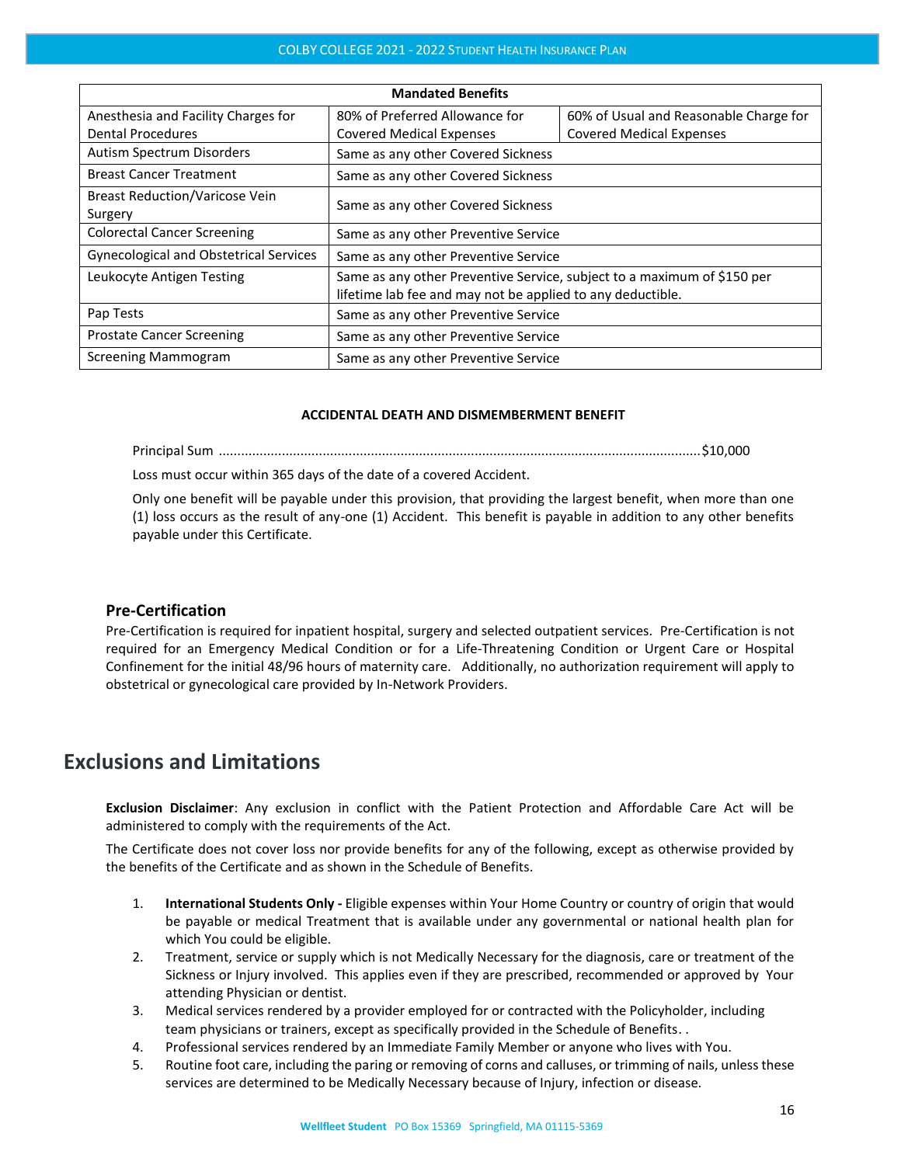| <b>Mandated Benefits</b>                      |                                                                         |                                        |  |  |
|-----------------------------------------------|-------------------------------------------------------------------------|----------------------------------------|--|--|
| Anesthesia and Facility Charges for           | 80% of Preferred Allowance for                                          | 60% of Usual and Reasonable Charge for |  |  |
| <b>Dental Procedures</b>                      | <b>Covered Medical Expenses</b>                                         | <b>Covered Medical Expenses</b>        |  |  |
| Autism Spectrum Disorders                     | Same as any other Covered Sickness                                      |                                        |  |  |
| <b>Breast Cancer Treatment</b>                | Same as any other Covered Sickness                                      |                                        |  |  |
| <b>Breast Reduction/Varicose Vein</b>         | Same as any other Covered Sickness                                      |                                        |  |  |
| Surgery                                       |                                                                         |                                        |  |  |
| <b>Colorectal Cancer Screening</b>            | Same as any other Preventive Service                                    |                                        |  |  |
| <b>Gynecological and Obstetrical Services</b> | Same as any other Preventive Service                                    |                                        |  |  |
| Leukocyte Antigen Testing                     | Same as any other Preventive Service, subject to a maximum of \$150 per |                                        |  |  |
|                                               | lifetime lab fee and may not be applied to any deductible.              |                                        |  |  |
| Pap Tests                                     | Same as any other Preventive Service                                    |                                        |  |  |
| <b>Prostate Cancer Screening</b>              | Same as any other Preventive Service                                    |                                        |  |  |
| Screening Mammogram                           | Same as any other Preventive Service                                    |                                        |  |  |

#### **ACCIDENTAL DEATH AND DISMEMBERMENT BENEFIT**

Principal Sum ..................................................................................................................................\$10,000

Loss must occur within 365 days of the date of a covered Accident.

Only one benefit will be payable under this provision, that providing the largest benefit, when more than one (1) loss occurs as the result of any-one (1) Accident. This benefit is payable in addition to any other benefits payable under this Certificate.

## <span id="page-15-0"></span>**Pre-Certification**

Pre-Certification is required for inpatient hospital, surgery and selected outpatient services. Pre-Certification is not required for an Emergency Medical Condition or for a Life-Threatening Condition or Urgent Care or Hospital Confinement for the initial 48/96 hours of maternity care. Additionally, no authorization requirement will apply to obstetrical or gynecological care provided by In-Network Providers.

# <span id="page-15-1"></span>**Exclusions and Limitations**

**Exclusion Disclaimer**: Any exclusion in conflict with the Patient Protection and Affordable Care Act will be administered to comply with the requirements of the Act.

The Certificate does not cover loss nor provide benefits for any of the following, except as otherwise provided by the benefits of the Certificate and as shown in the Schedule of Benefits.

- 1. **International Students Only -** Eligible expenses within Your Home Country or country of origin that would be payable or medical Treatment that is available under any governmental or national health plan for which You could be eligible.
- 2. Treatment, service or supply which is not Medically Necessary for the diagnosis, care or treatment of the Sickness or Injury involved. This applies even if they are prescribed, recommended or approved by Your attending Physician or dentist.
- 3. Medical services rendered by a provider employed for or contracted with the Policyholder, including team physicians or trainers, except as specifically provided in the Schedule of Benefits. .
- 4. Professional services rendered by an Immediate Family Member or anyone who lives with You.
- 5. Routine foot care, including the paring or removing of corns and calluses, or trimming of nails, unless these services are determined to be Medically Necessary because of Injury, infection or disease.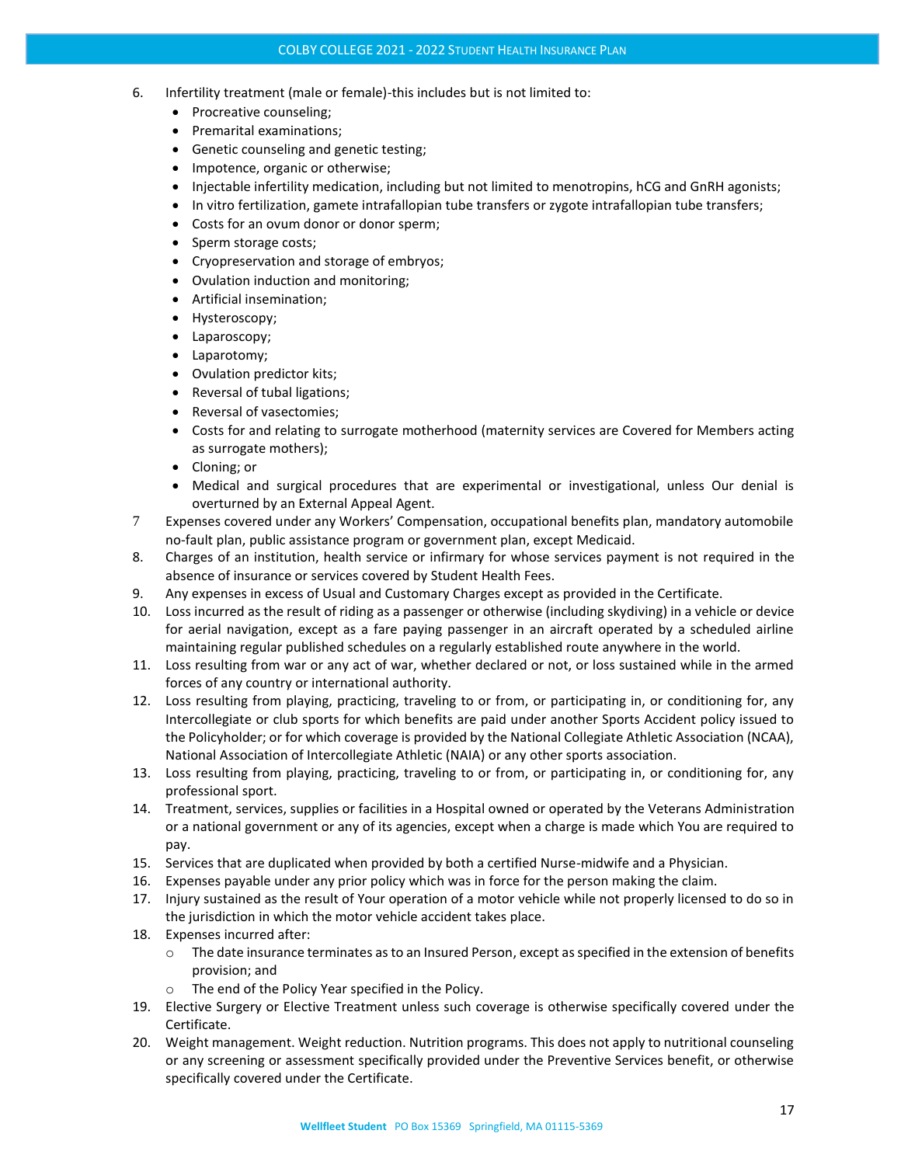- 6. Infertility treatment (male or female)-this includes but is not limited to:
	- Procreative counseling;
	- Premarital examinations;
	- Genetic counseling and genetic testing;
	- Impotence, organic or otherwise;
	- Injectable infertility medication, including but not limited to menotropins, hCG and GnRH agonists;
	- In vitro fertilization, gamete intrafallopian tube transfers or zygote intrafallopian tube transfers;
	- Costs for an ovum donor or donor sperm;
	- Sperm storage costs;
	- Cryopreservation and storage of embryos;
	- Ovulation induction and monitoring;
	- Artificial insemination;
	- Hysteroscopy;
	- Laparoscopy;
	- Laparotomy;
	- Ovulation predictor kits;
	- Reversal of tubal ligations;
	- Reversal of vasectomies;
	- Costs for and relating to surrogate motherhood (maternity services are Covered for Members acting as surrogate mothers);
	- Cloning; or
	- Medical and surgical procedures that are experimental or investigational, unless Our denial is overturned by an External Appeal Agent.
- 7 Expenses covered under any Workers' Compensation, occupational benefits plan, mandatory automobile no-fault plan, public assistance program or government plan, except Medicaid.
- 8. Charges of an institution, health service or infirmary for whose services payment is not required in the absence of insurance or services covered by Student Health Fees.
- 9. Any expenses in excess of Usual and Customary Charges except as provided in the Certificate.
- 10. Loss incurred as the result of riding as a passenger or otherwise (including skydiving) in a vehicle or device for aerial navigation, except as a fare paying passenger in an aircraft operated by a scheduled airline maintaining regular published schedules on a regularly established route anywhere in the world.
- 11. Loss resulting from war or any act of war, whether declared or not, or loss sustained while in the armed forces of any country or international authority.
- 12. Loss resulting from playing, practicing, traveling to or from, or participating in, or conditioning for, any Intercollegiate or club sports for which benefits are paid under another Sports Accident policy issued to the Policyholder; or for which coverage is provided by the National Collegiate Athletic Association (NCAA), National Association of Intercollegiate Athletic (NAIA) or any other sports association.
- 13. Loss resulting from playing, practicing, traveling to or from, or participating in, or conditioning for, any professional sport.
- 14. Treatment, services, supplies or facilities in a Hospital owned or operated by the Veterans Administration or a national government or any of its agencies, except when a charge is made which You are required to pay.
- 15. Services that are duplicated when provided by both a certified Nurse-midwife and a Physician.
- 16. Expenses payable under any prior policy which was in force for the person making the claim.
- 17. Injury sustained as the result of Your operation of a motor vehicle while not properly licensed to do so in the jurisdiction in which the motor vehicle accident takes place.
- 18. Expenses incurred after:
	- o The date insurance terminates as to an Insured Person, except as specified in the extension of benefits provision; and
	- o The end of the Policy Year specified in the Policy.
- 19. Elective Surgery or Elective Treatment unless such coverage is otherwise specifically covered under the Certificate.
- 20. Weight management. Weight reduction. Nutrition programs. This does not apply to nutritional counseling or any screening or assessment specifically provided under the Preventive Services benefit, or otherwise specifically covered under the Certificate.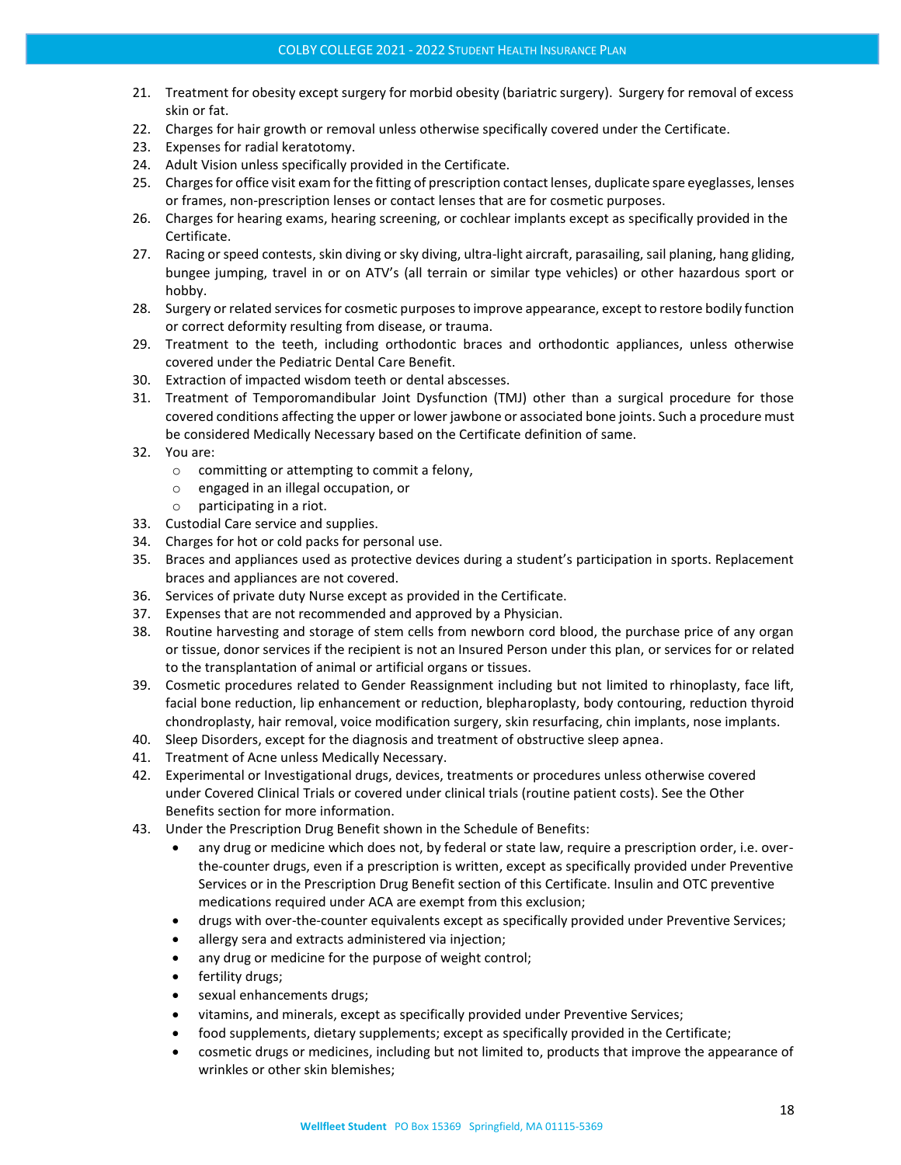- 21. Treatment for obesity except surgery for morbid obesity (bariatric surgery). Surgery for removal of excess skin or fat.
- 22. Charges for hair growth or removal unless otherwise specifically covered under the Certificate.
- 23. Expenses for radial keratotomy.
- 24. Adult Vision unless specifically provided in the Certificate.
- 25. Charges for office visit exam for the fitting of prescription contact lenses, duplicate spare eyeglasses, lenses or frames, non-prescription lenses or contact lenses that are for cosmetic purposes.
- 26. Charges for hearing exams, hearing screening, or cochlear implants except as specifically provided in the Certificate.
- 27. Racing or speed contests, skin diving or sky diving, ultra-light aircraft, parasailing, sail planing, hang gliding, bungee jumping, travel in or on ATV's (all terrain or similar type vehicles) or other hazardous sport or hobby.
- 28. Surgery or related services for cosmetic purposes to improve appearance, except to restore bodily function or correct deformity resulting from disease, or trauma.
- 29. Treatment to the teeth, including orthodontic braces and orthodontic appliances, unless otherwise covered under the Pediatric Dental Care Benefit.
- 30. Extraction of impacted wisdom teeth or dental abscesses.
- 31. Treatment of Temporomandibular Joint Dysfunction (TMJ) other than a surgical procedure for those covered conditions affecting the upper or lower jawbone or associated bone joints. Such a procedure must be considered Medically Necessary based on the Certificate definition of same.
- 32. You are:
	- o committing or attempting to commit a felony,
	- o engaged in an illegal occupation, or
	- o participating in a riot.
- 33. Custodial Care service and supplies.
- 34. Charges for hot or cold packs for personal use.
- 35. Braces and appliances used as protective devices during a student's participation in sports. Replacement braces and appliances are not covered.
- 36. Services of private duty Nurse except as provided in the Certificate.
- 37. Expenses that are not recommended and approved by a Physician.
- 38. Routine harvesting and storage of stem cells from newborn cord blood, the purchase price of any organ or tissue, donor services if the recipient is not an Insured Person under this plan, or services for or related to the transplantation of animal or artificial organs or tissues.
- 39. Cosmetic procedures related to Gender Reassignment including but not limited to rhinoplasty, face lift, facial bone reduction, lip enhancement or reduction, blepharoplasty, body contouring, reduction thyroid chondroplasty, hair removal, voice modification surgery, skin resurfacing, chin implants, nose implants.
- 40. Sleep Disorders, except for the diagnosis and treatment of obstructive sleep apnea.
- 41. Treatment of Acne unless Medically Necessary.
- 42. Experimental or Investigational drugs, devices, treatments or procedures unless otherwise covered under Covered Clinical Trials or covered under clinical trials (routine patient costs). See the Other Benefits section for more information.
- 43. Under the Prescription Drug Benefit shown in the Schedule of Benefits:
	- any drug or medicine which does not, by federal or state law, require a prescription order, i.e. overthe-counter drugs, even if a prescription is written, except as specifically provided under Preventive Services or in the Prescription Drug Benefit section of this Certificate. Insulin and OTC preventive medications required under ACA are exempt from this exclusion;
	- drugs with over-the-counter equivalents except as specifically provided under Preventive Services;
	- allergy sera and extracts administered via injection;
	- any drug or medicine for the purpose of weight control;
	- fertility drugs;
	- sexual enhancements drugs;
	- vitamins, and minerals, except as specifically provided under Preventive Services;
	- food supplements, dietary supplements; except as specifically provided in the Certificate;
	- cosmetic drugs or medicines, including but not limited to, products that improve the appearance of wrinkles or other skin blemishes;